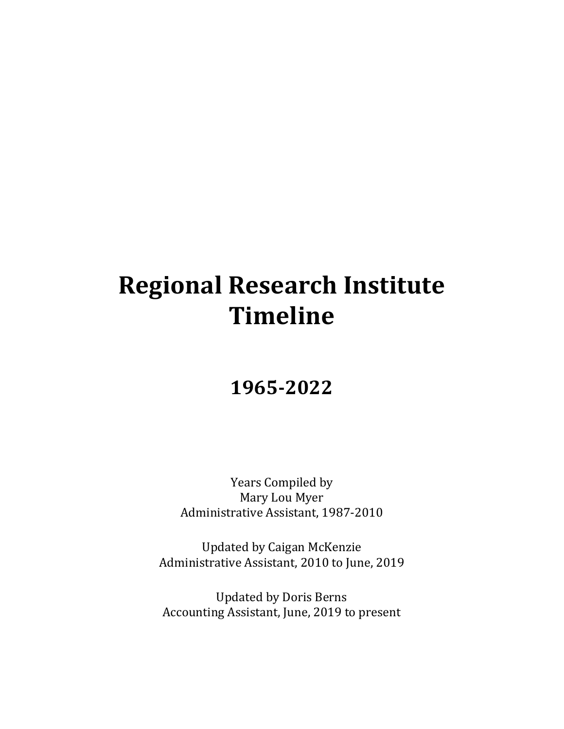# **Regional Research Institute Timeline**

# **1965-2022**

Years Compiled by Mary Lou Myer Administrative Assistant, 1987-2010

Updated by Caigan McKenzie Administrative Assistant, 2010 to June, 2019

Updated by Doris Berns Accounting Assistant, June, 2019 to present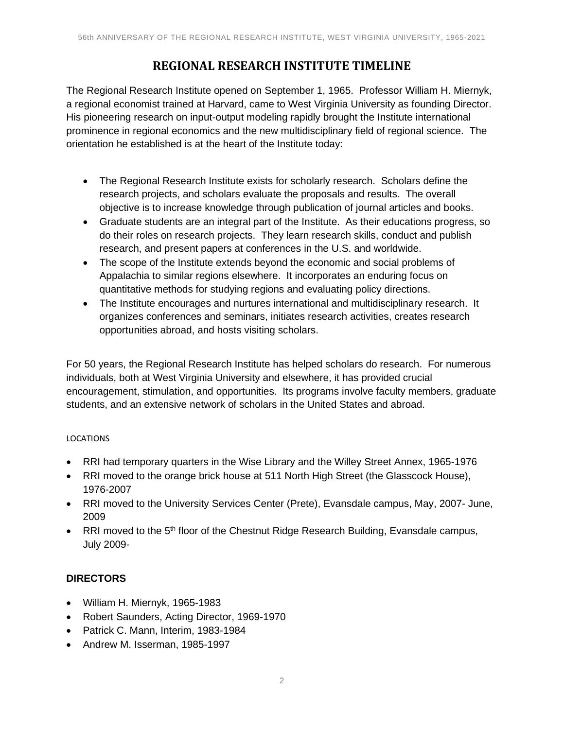# **REGIONAL RESEARCH INSTITUTE TIMELINE**

The Regional Research Institute opened on September 1, 1965. Professor William H. Miernyk, a regional economist trained at Harvard, came to West Virginia University as founding Director. His pioneering research on input-output modeling rapidly brought the Institute international prominence in regional economics and the new multidisciplinary field of regional science. The orientation he established is at the heart of the Institute today:

- The Regional Research Institute exists for scholarly research. Scholars define the research projects, and scholars evaluate the proposals and results. The overall objective is to increase knowledge through publication of journal articles and books.
- Graduate students are an integral part of the Institute. As their educations progress, so do their roles on research projects. They learn research skills, conduct and publish research, and present papers at conferences in the U.S. and worldwide.
- The scope of the Institute extends beyond the economic and social problems of Appalachia to similar regions elsewhere. It incorporates an enduring focus on quantitative methods for studying regions and evaluating policy directions.
- The Institute encourages and nurtures international and multidisciplinary research. It organizes conferences and seminars, initiates research activities, creates research opportunities abroad, and hosts visiting scholars.

For 50 years, the Regional Research Institute has helped scholars do research. For numerous individuals, both at West Virginia University and elsewhere, it has provided crucial encouragement, stimulation, and opportunities. Its programs involve faculty members, graduate students, and an extensive network of scholars in the United States and abroad.

# LOCATIONS

- RRI had temporary quarters in the Wise Library and the Willey Street Annex, 1965-1976
- RRI moved to the orange brick house at 511 North High Street (the Glasscock House), 1976-2007
- RRI moved to the University Services Center (Prete), Evansdale campus, May, 2007- June, 2009
- RRI moved to the 5<sup>th</sup> floor of the Chestnut Ridge Research Building, Evansdale campus, July 2009-

# **DIRECTORS**

- William H. Miernyk, 1965-1983
- Robert Saunders, Acting Director, 1969-1970
- Patrick C. Mann, Interim, 1983-1984
- Andrew M. Isserman, 1985-1997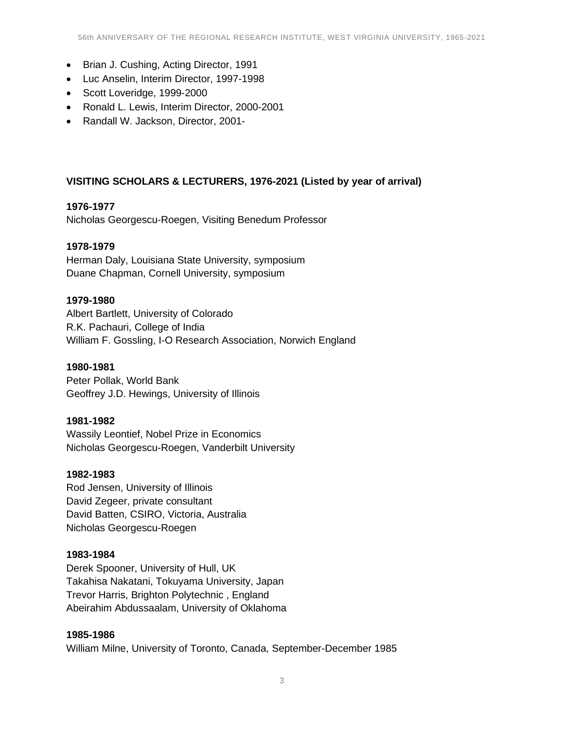- Brian J. Cushing, Acting Director, 1991
- Luc Anselin, Interim Director, 1997-1998
- Scott Loveridge, 1999-2000
- Ronald L. Lewis, Interim Director, 2000-2001
- Randall W. Jackson, Director, 2001-

# **VISITING SCHOLARS & LECTURERS, 1976-2021 (Listed by year of arrival)**

#### **1976-1977**

Nicholas Georgescu-Roegen, Visiting Benedum Professor

#### **1978-1979**

Herman Daly, Louisiana State University, symposium Duane Chapman, Cornell University, symposium

# **1979-1980**

Albert Bartlett, University of Colorado R.K. Pachauri, College of India William F. Gossling, I-O Research Association, Norwich England

#### **1980-1981**

Peter Pollak, World Bank Geoffrey J.D. Hewings, University of Illinois

#### **1981-1982**

Wassily Leontief, Nobel Prize in Economics Nicholas Georgescu-Roegen, Vanderbilt University

#### **1982-1983**

Rod Jensen, University of Illinois David Zegeer, private consultant David Batten, CSIRO, Victoria, Australia Nicholas Georgescu-Roegen

#### **1983-1984**

Derek Spooner, University of Hull, UK Takahisa Nakatani, Tokuyama University, Japan Trevor Harris, Brighton Polytechnic , England Abeirahim Abdussaalam, University of Oklahoma

#### **1985-1986**

William Milne, University of Toronto, Canada, September-December 1985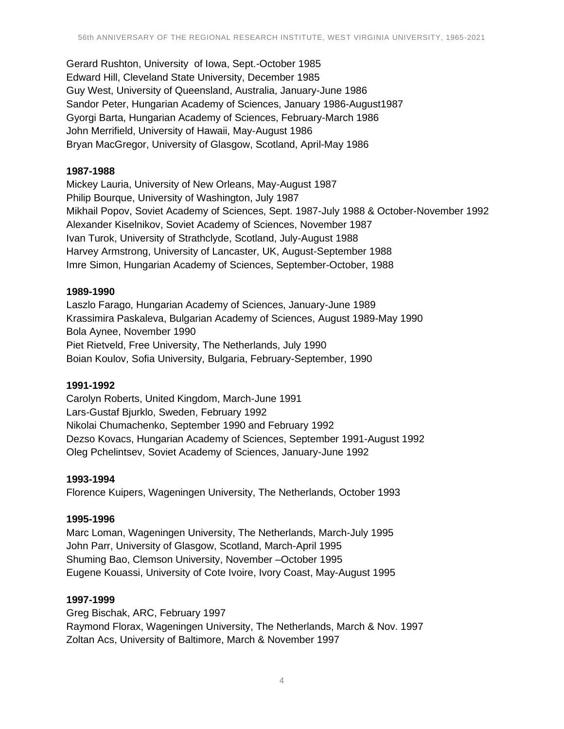Gerard Rushton, University of Iowa, Sept.-October 1985 Edward Hill, Cleveland State University, December 1985 Guy West, University of Queensland, Australia, January-June 1986 Sandor Peter, Hungarian Academy of Sciences, January 1986-August1987 Gyorgi Barta, Hungarian Academy of Sciences, February-March 1986 John Merrifield, University of Hawaii, May-August 1986 Bryan MacGregor, University of Glasgow, Scotland, April-May 1986

# **1987-1988**

Mickey Lauria, University of New Orleans, May-August 1987 Philip Bourque, University of Washington, July 1987 Mikhail Popov, Soviet Academy of Sciences, Sept. 1987-July 1988 & October-November 1992 Alexander Kiselnikov, Soviet Academy of Sciences, November 1987 Ivan Turok, University of Strathclyde, Scotland, July-August 1988 Harvey Armstrong, University of Lancaster, UK, August-September 1988 Imre Simon, Hungarian Academy of Sciences, September-October, 1988

# **1989-1990**

Laszlo Farago, Hungarian Academy of Sciences, January-June 1989 Krassimira Paskaleva, Bulgarian Academy of Sciences, August 1989-May 1990 Bola Aynee, November 1990 Piet Rietveld, Free University, The Netherlands, July 1990 Boian Koulov, Sofia University, Bulgaria, February-September, 1990

#### **1991-1992**

Carolyn Roberts, United Kingdom, March-June 1991 Lars-Gustaf Bjurklo, Sweden, February 1992 Nikolai Chumachenko, September 1990 and February 1992 Dezso Kovacs, Hungarian Academy of Sciences, September 1991-August 1992 Oleg Pchelintsev, Soviet Academy of Sciences, January-June 1992

# **1993-1994**

Florence Kuipers, Wageningen University, The Netherlands, October 1993

#### **1995-1996**

Marc Loman, Wageningen University, The Netherlands, March-July 1995 John Parr, University of Glasgow, Scotland, March-April 1995 Shuming Bao, Clemson University, November –October 1995 Eugene Kouassi, University of Cote Ivoire, Ivory Coast, May-August 1995

#### **1997-1999**

Greg Bischak, ARC, February 1997 Raymond Florax, Wageningen University, The Netherlands, March & Nov. 1997 Zoltan Acs, University of Baltimore, March & November 1997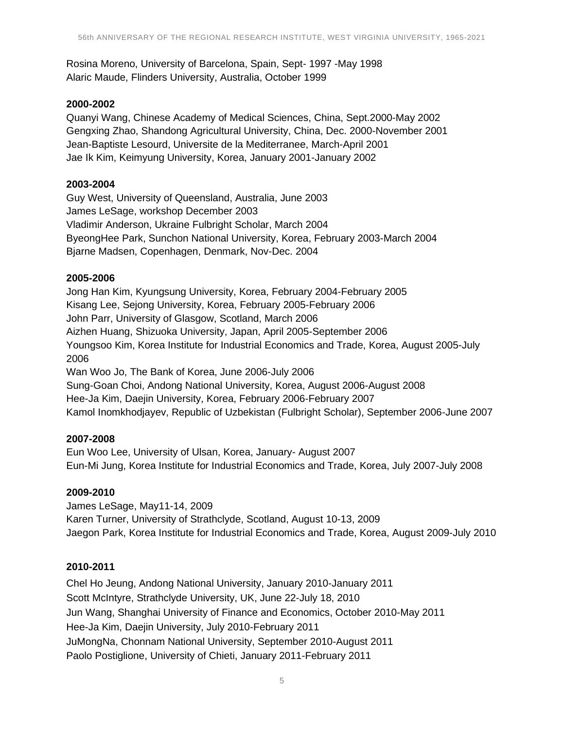Rosina Moreno, University of Barcelona, Spain, Sept- 1997 -May 1998 Alaric Maude, Flinders University, Australia, October 1999

#### **2000-2002**

Quanyi Wang, Chinese Academy of Medical Sciences, China, Sept.2000-May 2002 Gengxing Zhao, Shandong Agricultural University, China, Dec. 2000-November 2001 Jean-Baptiste Lesourd, Universite de la Mediterranee, March-April 2001 Jae Ik Kim, Keimyung University, Korea, January 2001-January 2002

# **2003-2004**

Guy West, University of Queensland, Australia, June 2003 James LeSage, workshop December 2003 Vladimir Anderson, Ukraine Fulbright Scholar, March 2004 ByeongHee Park, Sunchon National University, Korea, February 2003-March 2004 Bjarne Madsen, Copenhagen, Denmark, Nov-Dec. 2004

#### **2005-2006**

Jong Han Kim, Kyungsung University, Korea, February 2004-February 2005 Kisang Lee, Sejong University, Korea, February 2005-February 2006 John Parr, University of Glasgow, Scotland, March 2006 Aizhen Huang, Shizuoka University, Japan, April 2005-September 2006 Youngsoo Kim, Korea Institute for Industrial Economics and Trade, Korea, August 2005-July 2006 Wan Woo Jo, The Bank of Korea, June 2006-July 2006 Sung-Goan Choi, Andong National University, Korea, August 2006-August 2008 Hee-Ja Kim, Daejin University, Korea, February 2006-February 2007 Kamol Inomkhodjayev, Republic of Uzbekistan (Fulbright Scholar), September 2006-June 2007

# **2007-2008**

Eun Woo Lee, University of Ulsan, Korea, January- August 2007 Eun-Mi Jung, Korea Institute for Industrial Economics and Trade, Korea, July 2007-July 2008

#### **2009-2010**

James LeSage, May11-14, 2009 Karen Turner, University of Strathclyde, Scotland, August 10-13, 2009 Jaegon Park, Korea Institute for Industrial Economics and Trade, Korea, August 2009-July 2010

# **2010-2011**

Chel Ho Jeung, Andong National University, January 2010-January 2011 Scott McIntyre, Strathclyde University, UK, June 22-July 18, 2010 Jun Wang, Shanghai University of Finance and Economics, October 2010-May 2011 Hee-Ja Kim, Daejin University, July 2010-February 2011 JuMongNa, Chonnam National University, September 2010-August 2011 Paolo Postiglione, University of Chieti, January 2011-February 2011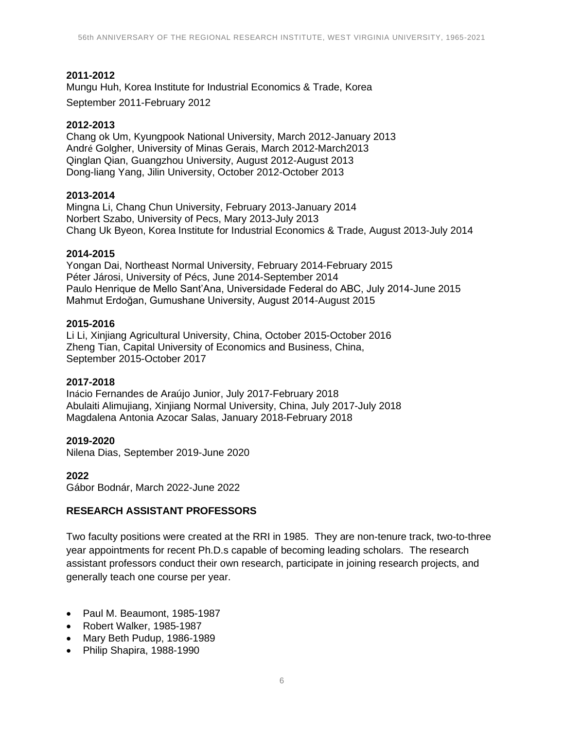# **2011-2012**

Mungu Huh, Korea Institute for Industrial Economics & Trade, Korea September 2011-February 2012

#### **2012-2013**

Chang ok Um, Kyungpook National University, March 2012-January 2013 André Golgher, University of Minas Gerais, March 2012-March2013 Qinglan Qian, Guangzhou University, August 2012-August 2013 Dong-liang Yang, Jilin University, October 2012-October 2013

#### **2013-2014**

Mingna Li, Chang Chun University, February 2013-January 2014 Norbert Szabo, University of Pecs, Mary 2013-July 2013 Chang Uk Byeon, Korea Institute for Industrial Economics & Trade, August 2013-July 2014

#### **2014-2015**

Yongan Dai, Northeast Normal University, February 2014-February 2015 Péter Járosi, University of Pécs, June 2014-September 2014 Paulo Henrique de Mello Sant'Ana, Universidade Federal do ABC, July 2014-June 2015 Mahmut Erdoğan, Gumushane University, August 2014-August 2015

#### **2015-2016**

Li Li, Xinjiang Agricultural University, China, October 2015-October 2016 Zheng Tian, Capital University of Economics and Business, China, September 2015-October 2017

#### **2017-2018**

Inácio Fernandes de Araújo Junior, July 2017-February 2018 Abulaiti Alimujiang, Xinjiang Normal University, China, July 2017-July 2018 Magdalena Antonia Azocar Salas, January 2018-February 2018

#### **2019-2020**

Nilena Dias, September 2019-June 2020

#### **2022**

Gábor Bodnár, March 2022-June 2022

# **RESEARCH ASSISTANT PROFESSORS**

Two faculty positions were created at the RRI in 1985. They are non-tenure track, two-to-three year appointments for recent Ph.D.s capable of becoming leading scholars. The research assistant professors conduct their own research, participate in joining research projects, and generally teach one course per year.

- Paul M. Beaumont, 1985-1987
- Robert Walker, 1985-1987
- Mary Beth Pudup, 1986-1989
- Philip Shapira, 1988-1990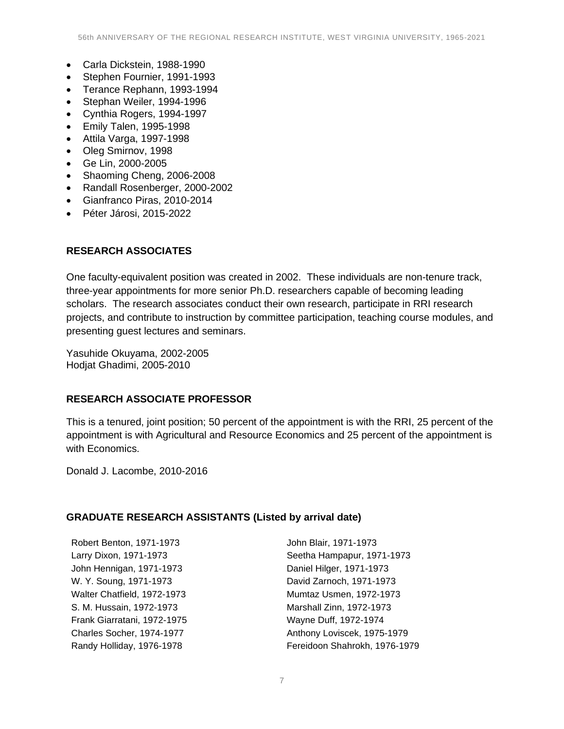- Carla Dickstein, 1988-1990
- Stephen Fournier, 1991-1993
- Terance Rephann, 1993-1994
- Stephan Weiler, 1994-1996
- Cynthia Rogers, 1994-1997
- Emily Talen, 1995-1998
- Attila Varga, 1997-1998
- Oleg Smirnov, 1998
- Ge Lin, 2000-2005
- Shaoming Cheng, 2006-2008
- Randall Rosenberger, 2000-2002
- Gianfranco Piras, 2010-2014
- Péter Járosi, 2015-2022

# **RESEARCH ASSOCIATES**

One faculty-equivalent position was created in 2002. These individuals are non-tenure track, three-year appointments for more senior Ph.D. researchers capable of becoming leading scholars. The research associates conduct their own research, participate in RRI research projects, and contribute to instruction by committee participation, teaching course modules, and presenting guest lectures and seminars.

Yasuhide Okuyama, 2002-2005 Hodjat Ghadimi, 2005-2010

# **RESEARCH ASSOCIATE PROFESSOR**

This is a tenured, joint position; 50 percent of the appointment is with the RRI, 25 percent of the appointment is with Agricultural and Resource Economics and 25 percent of the appointment is with Economics.

Donald J. Lacombe, 2010-2016

# **GRADUATE RESEARCH ASSISTANTS (Listed by arrival date)**

Robert Benton, 1971-1973 John Blair, 1971-1973 John Hennigan, 1971-1973 Daniel Hilger, 1971-1973 W. Y. Soung, 1971-1973 David Zarnoch, 1971-1973 Walter Chatfield, 1972-1973 Mumtaz Usmen, 1972-1973 S. M. Hussain, 1972-1973 Marshall Zinn, 1972-1973 Frank Giarratani, 1972-1975 Wayne Duff, 1972-1974

Larry Dixon, 1971-1973 Seetha Hampapur, 1971-1973 Charles Socher, 1974-1977 **Anthony Loviscek, 1975-1979** Randy Holliday, 1976-1978 **Fereidoon Shahrokh, 1976-1979**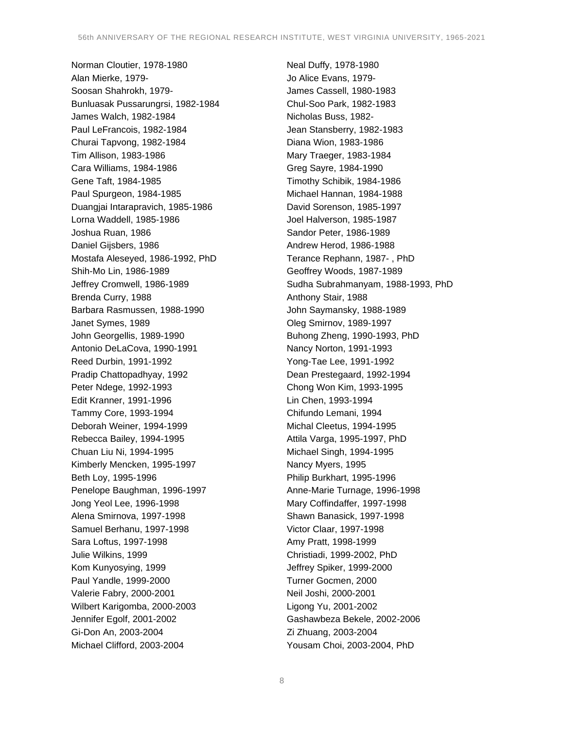Norman Cloutier, 1978-1980 Neal Duffy, 1978-1980 Alan Mierke, 1979- Jo Alice Evans, 1979- Soosan Shahrokh, 1979-<br>
James Cassell, 1980-1983 Bunluasak Pussarungrsi, 1982-1984 Chul-Soo Park, 1982-1983 James Walch, 1982-1984 Nicholas Buss, 1982-Paul LeFrancois, 1982-1984 Jean Stansberry, 1982-1983 Churai Tapvong, 1982-1984 Diana Wion, 1983-1986 Tim Allison, 1983-1986 Mary Traeger, 1983-1984 Cara Williams, 1984-1986 Greg Sayre, 1984-1990 Gene Taft, 1984-1985 Timothy Schibik, 1984-1986 Paul Spurgeon, 1984-1985 Michael Hannan, 1984-1988 Duangjai Intarapravich, 1985-1986 David Sorenson, 1985-1997 Lorna Waddell, 1985-1986 Joel Halverson, 1985-1987 Joshua Ruan, 1986 **Sandor Peter**, 1986-1989 Daniel Gijsbers, 1986 **Andrew Herod, 1986-1988** Mostafa Aleseyed, 1986-1992, PhD Terance Rephann, 1987- , PhD Shih-Mo Lin, 1986-1989 Geoffrey Woods, 1987-1989 Brenda Curry, 1988 **Brenda Curry**, 1988 Barbara Rasmussen, 1988-1990 John Saymansky, 1988-1989 Janet Symes, 1989 Oleg Smirnov, 1989-1997 John Georgellis, 1989-1990 **Buhong Zheng, 1990-1993, PhD** Antonio DeLaCova, 1990-1991 Nancy Norton, 1991-1993 Reed Durbin, 1991-1992 Yong-Tae Lee, 1991-1992 Pradip Chattopadhyay, 1992 **Dean Prestegaard, 1992-1994** Peter Ndege, 1992-1993 Chong Won Kim, 1993-1995 Edit Kranner, 1991-1996 **Lin Chen, 1993-1994** Tammy Core, 1993-1994 Chifundo Lemani, 1994 Deborah Weiner, 1994-1999 Michal Cleetus, 1994-1995 Rebecca Bailey, 1994-1995 Rebecca Bailey, 1994-1995 Chuan Liu Ni, 1994-1995 Michael Singh, 1994-1995 Kimberly Mencken, 1995-1997 Nancy Myers, 1995 Beth Loy, 1995-1996 Philip Burkhart, 1995-1996 Penelope Baughman, 1996-1997 Anne-Marie Turnage, 1996-1998 Jong Yeol Lee, 1996-1998 Mary Coffindaffer, 1997-1998 Alena Smirnova, 1997-1998 Shawn Banasick, 1997-1998 Samuel Berhanu, 1997-1998 Victor Claar, 1997-1998 Sara Loftus, 1997-1998 **Amy Pratt, 1998-1999** Julie Wilkins, 1999 Christiadi, 1999-2002, PhD Kom Kunyosying, 1999 Jeffrey Spiker, 1999-2000 Paul Yandle, 1999-2000 Turner Gocmen, 2000 Valerie Fabry, 2000-2001 Neil Joshi, 2000-2001 Wilbert Karigomba, 2000-2003 Ligong Yu, 2001-2002 Jennifer Egolf, 2001-2002 Gashawbeza Bekele, 2002-2006 Gi-Don An, 2003-2004 Zi Zhuang, 2003-2004 Michael Clifford, 2003-2004 Yousam Choi, 2003-2004, PhD

Jeffrey Cromwell, 1986-1989 Sudha Subrahmanyam, 1988-1993, PhD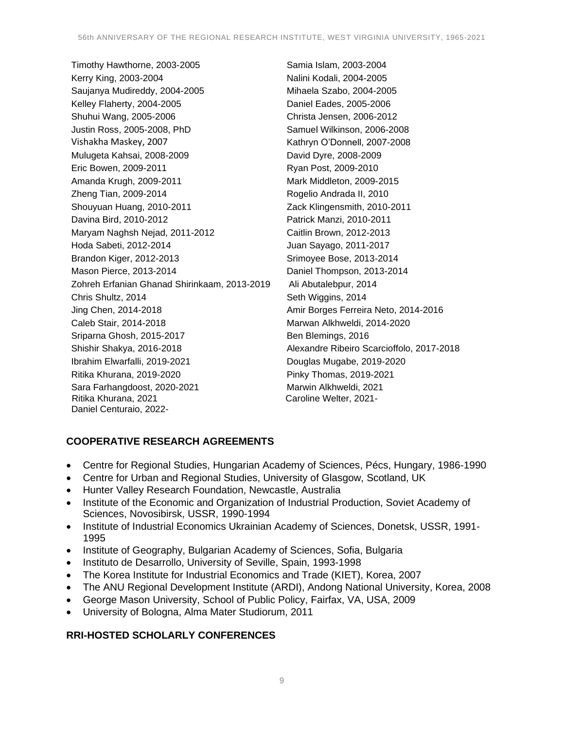Timothy Hawthorne, 2003-2005 Samia Islam, 2003-2004 Kerry King, 2003-2004 Nalini Kodali, 2004-2005 Saujanya Mudireddy, 2004-2005 Mihaela Szabo, 2004-2005 Kelley Flaherty, 2004-2005 Channel Eades, 2005-2006 Shuhui Wang, 2005-2006 Christa Jensen, 2006-2012 Justin Ross, 2005-2008, PhD Samuel Wilkinson, 2006-2008 Vishakha Maskey, 2007 Mashakha Maskey, 2007 Mashakha Maskey, 2007 Mulugeta Kahsai, 2008-2009 David Dyre, 2008-2009 Eric Bowen, 2009-2011 **Ryan Post, 2009-2010** Amanda Krugh, 2009-2011 Mark Middleton, 2009-2015 Zheng Tian, 2009-2014 **Rogelio Andrada II, 2010** Shouyuan Huang, 2010-2011 Zack Klingensmith, 2010-2011 Davina Bird, 2010-2012 Patrick Manzi, 2010-2011 Maryam Naghsh Nejad, 2011-2012 Caitlin Brown, 2012-2013 Hoda Sabeti, 2012-2014 Juan Sayago, 2011-2017 Brandon Kiger, 2012-2013 Srimoyee Bose, 2013-2014 Mason Pierce, 2013-2014 **Daniel Thompson, 2013-2014** Zohreh Erfanian Ghanad Shirinkaam, 2013-2019 Ali Abutalebpur, 2014 Chris Shultz, 2014 **Seth Wiggins**, 2014 Jing Chen, 2014-2018 Amir Borges Ferreira Neto, 2014-2016 Caleb Stair, 2014-2018 Marwan Alkhweldi, 2014-2020 Sriparna Ghosh, 2015-2017 Ben Blemings, 2016 Shishir Shakya, 2016-2018 Alexandre Ribeiro Scarcioffolo, 2017-2018 Ibrahim Elwarfalli, 2019-2021 Douglas Mugabe, 2019-2020 Ritika Khurana, 2019-2020 Pinky Thomas, 2019-2021 Sara Farhangdoost, 2020-2021 Marwin Alkhweldi, 2021 Ritika Khurana, 2021 **Caroline Welter, 2021**-Daniel Centuraio, 2022-

# **COOPERATIVE RESEARCH AGREEMENTS**

- Centre for Regional Studies, Hungarian Academy of Sciences, Pécs, Hungary, 1986-1990
- Centre for Urban and Regional Studies, University of Glasgow, Scotland, UK
- Hunter Valley Research Foundation, Newcastle, Australia
- Institute of the Economic and Organization of Industrial Production, Soviet Academy of Sciences, Novosibirsk, USSR, 1990-1994
- Institute of Industrial Economics Ukrainian Academy of Sciences, Donetsk, USSR, 1991- 1995
- Institute of Geography, Bulgarian Academy of Sciences, Sofia, Bulgaria
- Instituto de Desarrollo, University of Seville, Spain, 1993-1998
- The Korea Institute for Industrial Economics and Trade (KIET), Korea, 2007
- The ANU Regional Development Institute (ARDI), Andong National University, Korea, 2008
- George Mason University, School of Public Policy, Fairfax, VA, USA, 2009
- University of Bologna, Alma Mater Studiorum, 2011

# **RRI-HOSTED SCHOLARLY CONFERENCES**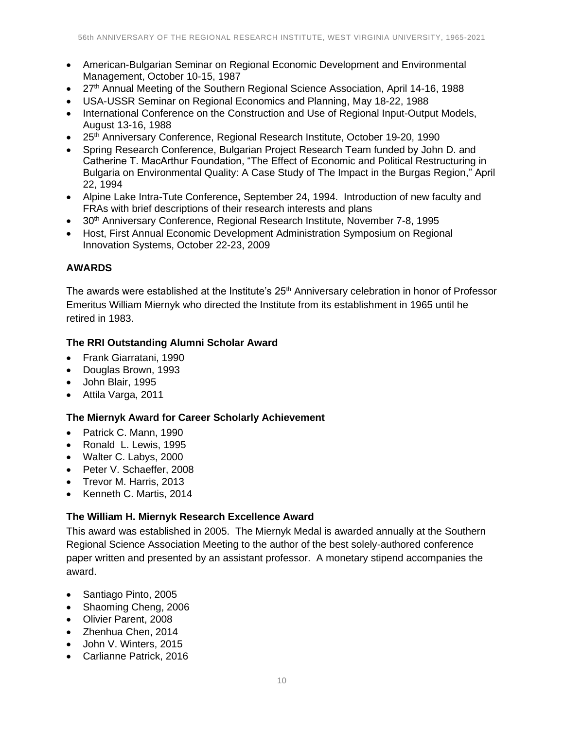- American-Bulgarian Seminar on Regional Economic Development and Environmental Management, October 10-15, 1987
- 27<sup>th</sup> Annual Meeting of the Southern Regional Science Association, April 14-16, 1988
- USA-USSR Seminar on Regional Economics and Planning, May 18-22, 1988
- International Conference on the Construction and Use of Regional Input-Output Models, August 13-16, 1988
- 25<sup>th</sup> Anniversary Conference, Regional Research Institute, October 19-20, 1990
- Spring Research Conference, Bulgarian Project Research Team funded by John D. and Catherine T. MacArthur Foundation, "The Effect of Economic and Political Restructuring in Bulgaria on Environmental Quality: A Case Study of The Impact in the Burgas Region," April 22, 1994
- Alpine Lake Intra-Tute Conference**,** September 24, 1994. Introduction of new faculty and FRAs with brief descriptions of their research interests and plans
- 30<sup>th</sup> Anniversary Conference, Regional Research Institute, November 7-8, 1995
- Host, First Annual Economic Development Administration Symposium on Regional Innovation Systems, October 22-23, 2009

# **AWARDS**

The awards were established at the Institute's 25<sup>th</sup> Anniversary celebration in honor of Professor Emeritus William Miernyk who directed the Institute from its establishment in 1965 until he retired in 1983.

# **The RRI Outstanding Alumni Scholar Award**

- Frank Giarratani, 1990
- Douglas Brown, 1993
- John Blair, 1995
- Attila Varga, 2011

# **The Miernyk Award for Career Scholarly Achievement**

- Patrick C. Mann, 1990
- Ronald L. Lewis, 1995
- Walter C. Labys, 2000
- Peter V. Schaeffer, 2008
- Trevor M. Harris, 2013
- Kenneth C. Martis, 2014

# **The William H. Miernyk Research Excellence Award**

This award was established in 2005. The Miernyk Medal is awarded annually at the Southern Regional Science Association Meeting to the author of the best solely-authored conference paper written and presented by an assistant professor. A monetary stipend accompanies the award.

- Santiago Pinto, 2005
- Shaoming Cheng, 2006
- Olivier Parent, 2008
- Zhenhua Chen, 2014
- John V. Winters, 2015
- Carlianne Patrick, 2016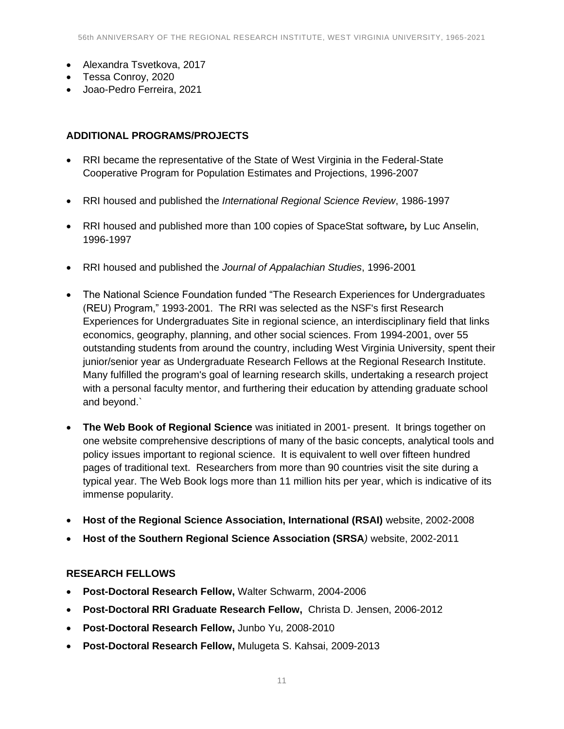- Alexandra Tsvetkova, 2017
- Tessa Conroy, 2020
- Joao-Pedro Ferreira, 2021

#### **ADDITIONAL PROGRAMS/PROJECTS**

- RRI became the representative of the State of West Virginia in the Federal-State Cooperative Program for Population Estimates and Projections, 1996-2007
- RRI housed and published the *International Regional Science Review*, 1986-1997
- RRI housed and published more than 100 copies of SpaceStat software*,* by Luc Anselin, 1996-1997
- RRI housed and published the *Journal of Appalachian Studies*, 1996-2001
- The National Science Foundation funded "The Research Experiences for Undergraduates (REU) Program," 1993-2001. The RRI was selected as the NSF's first Research Experiences for Undergraduates Site in regional science, an interdisciplinary field that links economics, geography, planning, and other social sciences. From 1994-2001, over 55 outstanding students from around the country, including West Virginia University, spent their junior/senior year as Undergraduate Research Fellows at the Regional Research Institute. Many fulfilled the program's goal of learning research skills, undertaking a research project with a personal faculty mentor, and furthering their education by attending graduate school and beyond.`
- **The Web Book of Regional Science** was initiated in 2001- present. It brings together on one website comprehensive descriptions of many of the basic concepts, analytical tools and policy issues important to regional science. It is equivalent to well over fifteen hundred pages of traditional text. Researchers from more than 90 countries visit the site during a typical year. The Web Book logs more than 11 million hits per year, which is indicative of its immense popularity.
- **Host of the Regional Science Association, International (RSAI)** website, 2002-2008
- **Host of the Southern Regional Science Association (SRSA***)* website, 2002-2011

#### **RESEARCH FELLOWS**

- **Post-Doctoral Research Fellow,** Walter Schwarm, 2004-2006
- **Post-Doctoral RRI Graduate Research Fellow,** Christa D. Jensen, 2006-2012
- **Post-Doctoral Research Fellow,** Junbo Yu, 2008-2010
- **Post-Doctoral Research Fellow,** Mulugeta S. Kahsai, 2009-2013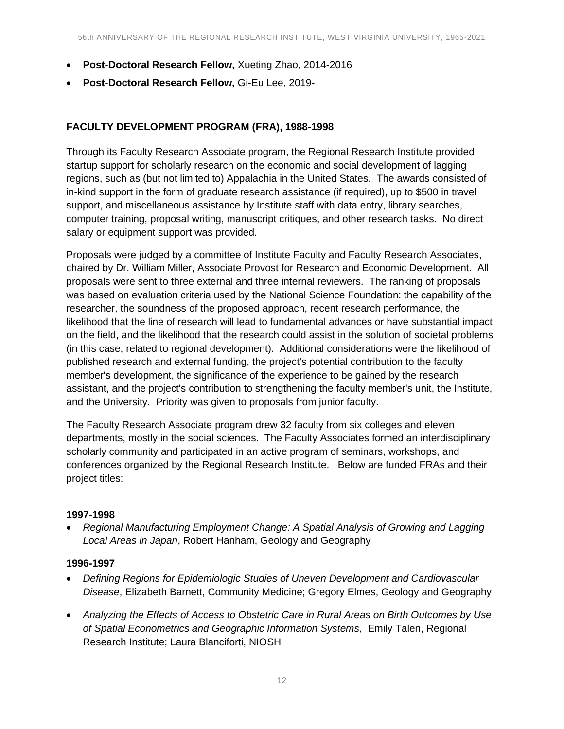- **Post-Doctoral Research Fellow,** Xueting Zhao, 2014-2016
- **Post-Doctoral Research Fellow,** Gi-Eu Lee, 2019-

# **FACULTY DEVELOPMENT PROGRAM (FRA), 1988-1998**

Through its Faculty Research Associate program, the Regional Research Institute provided startup support for scholarly research on the economic and social development of lagging regions, such as (but not limited to) Appalachia in the United States. The awards consisted of in-kind support in the form of graduate research assistance (if required), up to \$500 in travel support, and miscellaneous assistance by Institute staff with data entry, library searches, computer training, proposal writing, manuscript critiques, and other research tasks. No direct salary or equipment support was provided.

Proposals were judged by a committee of Institute Faculty and Faculty Research Associates, chaired by Dr. William Miller, Associate Provost for Research and Economic Development. All proposals were sent to three external and three internal reviewers. The ranking of proposals was based on evaluation criteria used by the National Science Foundation: the capability of the researcher, the soundness of the proposed approach, recent research performance, the likelihood that the line of research will lead to fundamental advances or have substantial impact on the field, and the likelihood that the research could assist in the solution of societal problems (in this case, related to regional development). Additional considerations were the likelihood of published research and external funding, the project's potential contribution to the faculty member's development, the significance of the experience to be gained by the research assistant, and the project's contribution to strengthening the faculty member's unit, the Institute, and the University. Priority was given to proposals from junior faculty.

The Faculty Research Associate program drew 32 faculty from six colleges and eleven departments, mostly in the social sciences. The Faculty Associates formed an interdisciplinary scholarly community and participated in an active program of seminars, workshops, and conferences organized by the Regional Research Institute. Below are funded FRAs and their project titles:

# **1997-1998**

• *Regional Manufacturing Employment Change: A Spatial Analysis of Growing and Lagging Local Areas in Japan*, Robert Hanham, Geology and Geography

# **1996-1997**

- *Defining Regions for Epidemiologic Studies of Uneven Development and Cardiovascular Disease*, Elizabeth Barnett, Community Medicine; Gregory Elmes, Geology and Geography
- *Analyzing the Effects of Access to Obstetric Care in Rural Areas on Birth Outcomes by Use of Spatial Econometrics and Geographic Information Systems,* Emily Talen, Regional Research Institute; Laura Blanciforti, NIOSH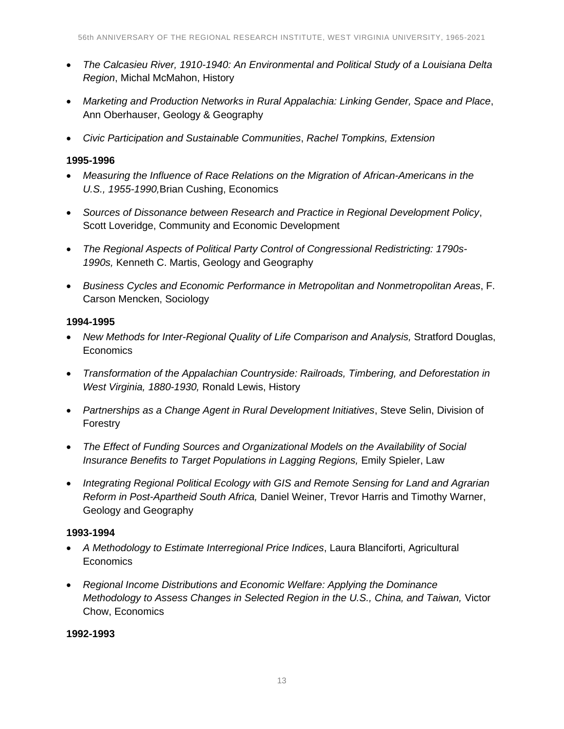- *The Calcasieu River, 1910-1940: An Environmental and Political Study of a Louisiana Delta Region*, Michal McMahon, History
- *Marketing and Production Networks in Rural Appalachia: Linking Gender, Space and Place*, Ann Oberhauser, Geology & Geography
- *Civic Participation and Sustainable Communities*, *Rachel Tompkins, Extension*

# **1995-1996**

- *Measuring the Influence of Race Relations on the Migration of African-Americans in the U.S., 1955-1990,*Brian Cushing, Economics
- *Sources of Dissonance between Research and Practice in Regional Development Policy*, Scott Loveridge, Community and Economic Development
- *The Regional Aspects of Political Party Control of Congressional Redistricting: 1790s-1990s,* Kenneth C. Martis, Geology and Geography
- *Business Cycles and Economic Performance in Metropolitan and Nonmetropolitan Areas*, F. Carson Mencken, Sociology

# **1994-1995**

- *New Methods for Inter-Regional Quality of Life Comparison and Analysis,* Stratford Douglas, Economics
- *Transformation of the Appalachian Countryside: Railroads, Timbering, and Deforestation in West Virginia, 1880-1930,* Ronald Lewis, History
- *Partnerships as a Change Agent in Rural Development Initiatives*, Steve Selin, Division of Forestry
- *The Effect of Funding Sources and Organizational Models on the Availability of Social Insurance Benefits to Target Populations in Lagging Regions, Emily Spieler, Law*
- *Integrating Regional Political Ecology with GIS and Remote Sensing for Land and Agrarian Reform in Post-Apartheid South Africa,* Daniel Weiner, Trevor Harris and Timothy Warner, Geology and Geography

# **1993-1994**

- *A Methodology to Estimate Interregional Price Indices*, Laura Blanciforti, Agricultural Economics
- *Regional Income Distributions and Economic Welfare: Applying the Dominance Methodology to Assess Changes in Selected Region in the U.S., China, and Taiwan,* Victor Chow, Economics

# **1992-1993**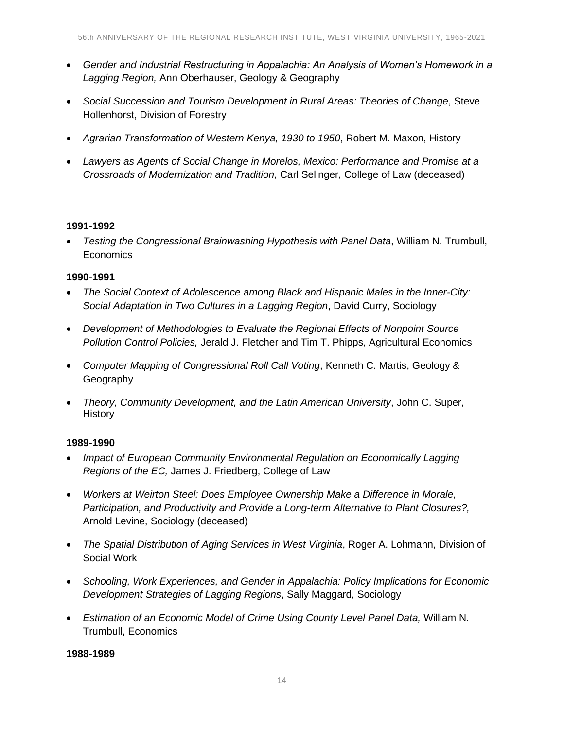- *Gender and Industrial Restructuring in Appalachia: An Analysis of Women's Homework in a Lagging Region,* Ann Oberhauser, Geology & Geography
- *Social Succession and Tourism Development in Rural Areas: Theories of Change*, Steve Hollenhorst, Division of Forestry
- *Agrarian Transformation of Western Kenya, 1930 to 1950*, Robert M. Maxon, History
- *Lawyers as Agents of Social Change in Morelos, Mexico: Performance and Promise at a Crossroads of Modernization and Tradition,* Carl Selinger, College of Law (deceased)

# **1991-1992**

• *Testing the Congressional Brainwashing Hypothesis with Panel Data*, William N. Trumbull, **Economics** 

#### **1990-1991**

- *The Social Context of Adolescence among Black and Hispanic Males in the Inner-City: Social Adaptation in Two Cultures in a Lagging Region*, David Curry, Sociology
- *Development of Methodologies to Evaluate the Regional Effects of Nonpoint Source Pollution Control Policies,* Jerald J. Fletcher and Tim T. Phipps, Agricultural Economics
- *Computer Mapping of Congressional Roll Call Voting*, Kenneth C. Martis, Geology & **Geography**
- *Theory, Community Development, and the Latin American University*, John C. Super, History

# **1989-1990**

- *Impact of European Community Environmental Regulation on Economically Lagging Regions of the EC,* James J. Friedberg, College of Law
- *Workers at Weirton Steel: Does Employee Ownership Make a Difference in Morale, Participation, and Productivity and Provide a Long-term Alternative to Plant Closures?,* Arnold Levine, Sociology (deceased)
- *The Spatial Distribution of Aging Services in West Virginia*, Roger A. Lohmann, Division of Social Work
- *Schooling, Work Experiences, and Gender in Appalachia: Policy Implications for Economic Development Strategies of Lagging Regions*, Sally Maggard, Sociology
- *Estimation of an Economic Model of Crime Using County Level Panel Data,* William N. Trumbull, Economics

**1988-1989**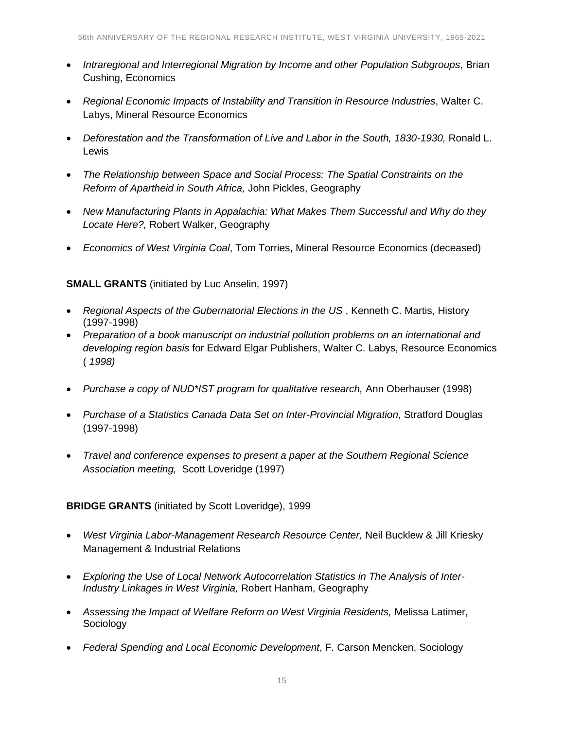- *Intraregional and Interregional Migration by Income and other Population Subgroups*, Brian Cushing, Economics
- *Regional Economic Impacts of Instability and Transition in Resource Industries*, Walter C. Labys, Mineral Resource Economics
- *Deforestation and the Transformation of Live and Labor in the South, 1830-1930,* Ronald L. Lewis
- *The Relationship between Space and Social Process: The Spatial Constraints on the Reform of Apartheid in South Africa,* John Pickles, Geography
- *New Manufacturing Plants in Appalachia: What Makes Them Successful and Why do they Locate Here?,* Robert Walker, Geography
- *Economics of West Virginia Coal*, Tom Torries, Mineral Resource Economics (deceased)

**SMALL GRANTS** (initiated by Luc Anselin, 1997)

- *Regional Aspects of the Gubernatorial Elections in the US* , Kenneth C. Martis, History (1997-1998)
- *Preparation of a book manuscript on industrial pollution problems on an international and developing region basis* for Edward Elgar Publishers, Walter C. Labys, Resource Economics ( *1998)*
- *Purchase a copy of NUD\*IST program for qualitative research,* Ann Oberhauser (1998)
- *Purchase of a Statistics Canada Data Set on Inter-Provincial Migration*, Stratford Douglas (1997-1998)
- *Travel and conference expenses to present a paper at the Southern Regional Science Association meeting,* Scott Loveridge (1997)

# **BRIDGE GRANTS** (initiated by Scott Loveridge), 1999

- *West Virginia Labor-Management Research Resource Center,* Neil Bucklew & Jill Kriesky Management & Industrial Relations
- *Exploring the Use of Local Network Autocorrelation Statistics in The Analysis of Inter-Industry Linkages in West Virginia,* Robert Hanham, Geography
- Assessing the Impact of Welfare Reform on West Virginia Residents, Melissa Latimer, **Sociology**
- *Federal Spending and Local Economic Development*, F. Carson Mencken, Sociology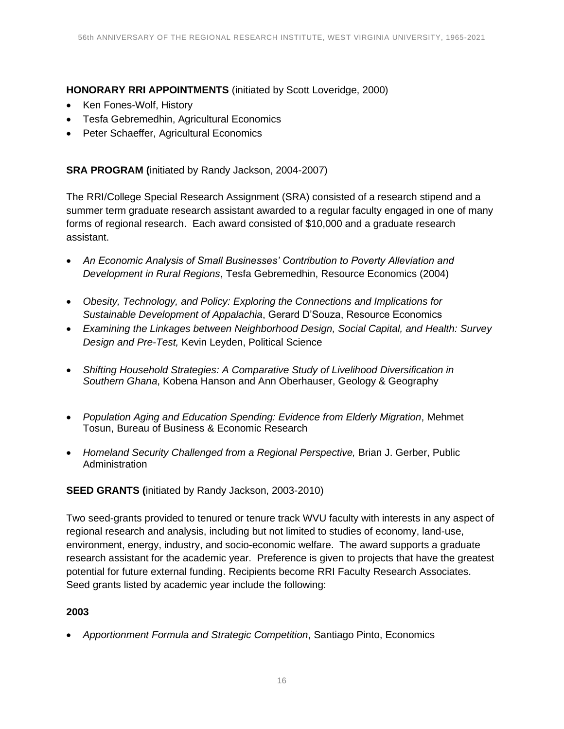# **HONORARY RRI APPOINTMENTS** (initiated by Scott Loveridge, 2000)

- Ken Fones-Wolf, History
- Tesfa Gebremedhin, Agricultural Economics
- Peter Schaeffer, Agricultural Economics

# **SRA PROGRAM (**initiated by Randy Jackson, 2004-2007)

The RRI/College Special Research Assignment (SRA) consisted of a research stipend and a summer term graduate research assistant awarded to a regular faculty engaged in one of many forms of regional research. Each award consisted of \$10,000 and a graduate research assistant.

- *An Economic Analysis of Small Businesses' Contribution to Poverty Alleviation and Development in Rural Regions*, Tesfa Gebremedhin, Resource Economics (2004)
- *Obesity, Technology, and Policy: Exploring the Connections and Implications for Sustainable Development of Appalachia*, Gerard D'Souza, Resource Economics
- *Examining the Linkages between Neighborhood Design, Social Capital, and Health: Survey Design and Pre-Test,* Kevin Leyden, Political Science
- *Shifting Household Strategies: A Comparative Study of Livelihood Diversification in Southern Ghana*, Kobena Hanson and Ann Oberhauser, Geology & Geography
- *Population Aging and Education Spending: Evidence from Elderly Migration*, Mehmet Tosun, Bureau of Business & Economic Research
- *Homeland Security Challenged from a Regional Perspective, Brian J. Gerber, Public* Administration

# **SEED GRANTS (**initiated by Randy Jackson, 2003-2010)

Two seed-grants provided to tenured or tenure track WVU faculty with interests in any aspect of regional research and analysis, including but not limited to studies of economy, land-use, environment, energy, industry, and socio-economic welfare. The award supports a graduate research assistant for the academic year. Preference is given to projects that have the greatest potential for future external funding. Recipients become RRI Faculty Research Associates. Seed grants listed by academic year include the following:

# **2003**

• *Apportionment Formula and Strategic Competition*, Santiago Pinto, Economics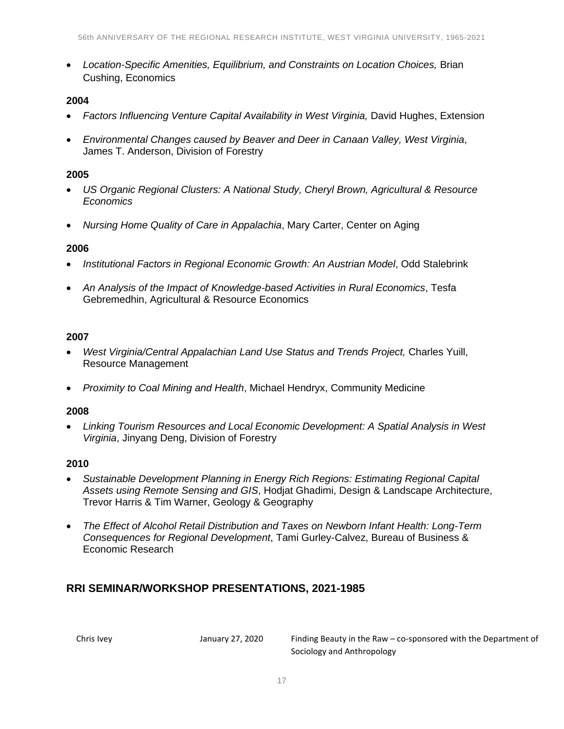• *Location-Specific Amenities, Equilibrium, and Constraints on Location Choices,* Brian Cushing, Economics

#### **2004**

- *Factors Influencing Venture Capital Availability in West Virginia, David Hughes, Extension*
- *Environmental Changes caused by Beaver and Deer in Canaan Valley, West Virginia*, James T. Anderson, Division of Forestry

#### **2005**

- *US Organic Regional Clusters: A National Study, Cheryl Brown, Agricultural & Resource Economics*
- *Nursing Home Quality of Care in Appalachia*, Mary Carter, Center on Aging

#### **2006**

- *Institutional Factors in Regional Economic Growth: An Austrian Model*, Odd Stalebrink
- *An Analysis of the Impact of Knowledge-based Activities in Rural Economics*, Tesfa Gebremedhin, Agricultural & Resource Economics

#### **2007**

- *West Virginia/Central Appalachian Land Use Status and Trends Project,* Charles Yuill, Resource Management
- *Proximity to Coal Mining and Health*, Michael Hendryx, Community Medicine

#### **2008**

• *Linking Tourism Resources and Local Economic Development: A Spatial Analysis in West Virginia*, Jinyang Deng, Division of Forestry

#### **2010**

- *Sustainable Development Planning in Energy Rich Regions: Estimating Regional Capital Assets using Remote Sensing and GIS*, Hodjat Ghadimi, Design & Landscape Architecture, Trevor Harris & Tim Warner, Geology & Geography
- *The Effect of Alcohol Retail Distribution and Taxes on Newborn Infant Health: Long-Term Consequences for Regional Development*, Tami Gurley-Calvez, Bureau of Business & Economic Research

# **RRI SEMINAR/WORKSHOP PRESENTATIONS, 2021-1985**

Chris Ivey January 27, 2020 Finding Beauty in the Raw – co-sponsored with the Department of Sociology and Anthropology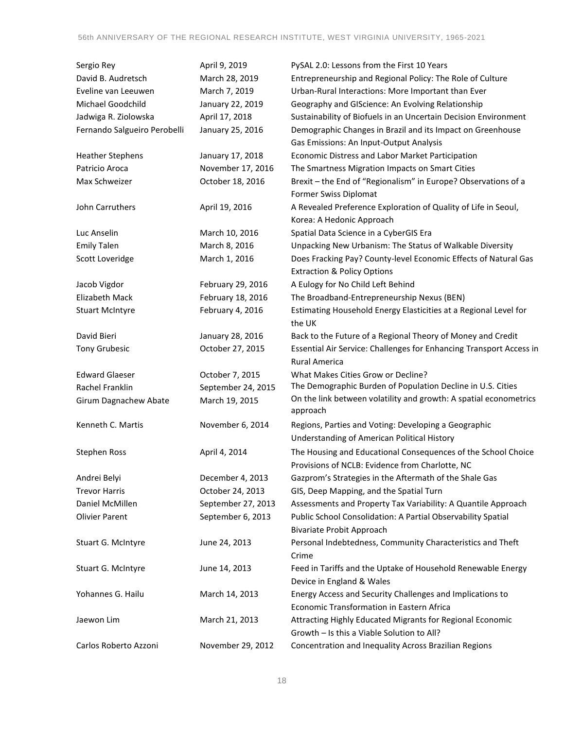| Sergio Rey                   | April 9, 2019      | PySAL 2.0: Lessons from the First 10 Years                                    |
|------------------------------|--------------------|-------------------------------------------------------------------------------|
| David B. Audretsch           | March 28, 2019     | Entrepreneurship and Regional Policy: The Role of Culture                     |
| Eveline van Leeuwen          | March 7, 2019      | Urban-Rural Interactions: More Important than Ever                            |
| Michael Goodchild            | January 22, 2019   | Geography and GIScience: An Evolving Relationship                             |
| Jadwiga R. Ziolowska         | April 17, 2018     | Sustainability of Biofuels in an Uncertain Decision Environment               |
| Fernando Salgueiro Perobelli | January 25, 2016   | Demographic Changes in Brazil and its Impact on Greenhouse                    |
|                              |                    | Gas Emissions: An Input-Output Analysis                                       |
| <b>Heather Stephens</b>      | January 17, 2018   | Economic Distress and Labor Market Participation                              |
| Patricio Aroca               | November 17, 2016  | The Smartness Migration Impacts on Smart Cities                               |
| Max Schweizer                | October 18, 2016   | Brexit - the End of "Regionalism" in Europe? Observations of a                |
|                              |                    | Former Swiss Diplomat                                                         |
| John Carruthers              | April 19, 2016     | A Revealed Preference Exploration of Quality of Life in Seoul,                |
|                              |                    | Korea: A Hedonic Approach                                                     |
| Luc Anselin                  | March 10, 2016     | Spatial Data Science in a CyberGIS Era                                        |
| <b>Emily Talen</b>           | March 8, 2016      | Unpacking New Urbanism: The Status of Walkable Diversity                      |
| Scott Loveridge              | March 1, 2016      | Does Fracking Pay? County-level Economic Effects of Natural Gas               |
|                              |                    | <b>Extraction &amp; Policy Options</b>                                        |
| Jacob Vigdor                 | February 29, 2016  | A Eulogy for No Child Left Behind                                             |
| Elizabeth Mack               | February 18, 2016  | The Broadband-Entrepreneurship Nexus (BEN)                                    |
| <b>Stuart McIntyre</b>       | February 4, 2016   | Estimating Household Energy Elasticities at a Regional Level for              |
|                              |                    | the UK                                                                        |
| David Bieri                  | January 28, 2016   | Back to the Future of a Regional Theory of Money and Credit                   |
| <b>Tony Grubesic</b>         | October 27, 2015   | Essential Air Service: Challenges for Enhancing Transport Access in           |
|                              |                    | <b>Rural America</b>                                                          |
| <b>Edward Glaeser</b>        | October 7, 2015    | What Makes Cities Grow or Decline?                                            |
| Rachel Franklin              | September 24, 2015 | The Demographic Burden of Population Decline in U.S. Cities                   |
| Girum Dagnachew Abate        | March 19, 2015     | On the link between volatility and growth: A spatial econometrics<br>approach |
| Kenneth C. Martis            | November 6, 2014   | Regions, Parties and Voting: Developing a Geographic                          |
|                              |                    | Understanding of American Political History                                   |
| <b>Stephen Ross</b>          | April 4, 2014      | The Housing and Educational Consequences of the School Choice                 |
|                              |                    | Provisions of NCLB: Evidence from Charlotte, NC                               |
| Andrei Belyi                 | December 4, 2013   | Gazprom's Strategies in the Aftermath of the Shale Gas                        |
| <b>Trevor Harris</b>         | October 24, 2013   | GIS, Deep Mapping, and the Spatial Turn                                       |
| Daniel McMillen              | September 27, 2013 | Assessments and Property Tax Variability: A Quantile Approach                 |
| <b>Olivier Parent</b>        | September 6, 2013  | Public School Consolidation: A Partial Observability Spatial                  |
|                              |                    | <b>Bivariate Probit Approach</b>                                              |
| Stuart G. McIntyre           | June 24, 2013      | Personal Indebtedness, Community Characteristics and Theft                    |
|                              |                    | Crime                                                                         |
| Stuart G. McIntyre           | June 14, 2013      | Feed in Tariffs and the Uptake of Household Renewable Energy                  |
|                              |                    | Device in England & Wales                                                     |
| Yohannes G. Hailu            | March 14, 2013     | Energy Access and Security Challenges and Implications to                     |
|                              |                    | Economic Transformation in Eastern Africa                                     |
| Jaewon Lim                   | March 21, 2013     | Attracting Highly Educated Migrants for Regional Economic                     |
|                              |                    | Growth - Is this a Viable Solution to All?                                    |
| Carlos Roberto Azzoni        | November 29, 2012  | Concentration and Inequality Across Brazilian Regions                         |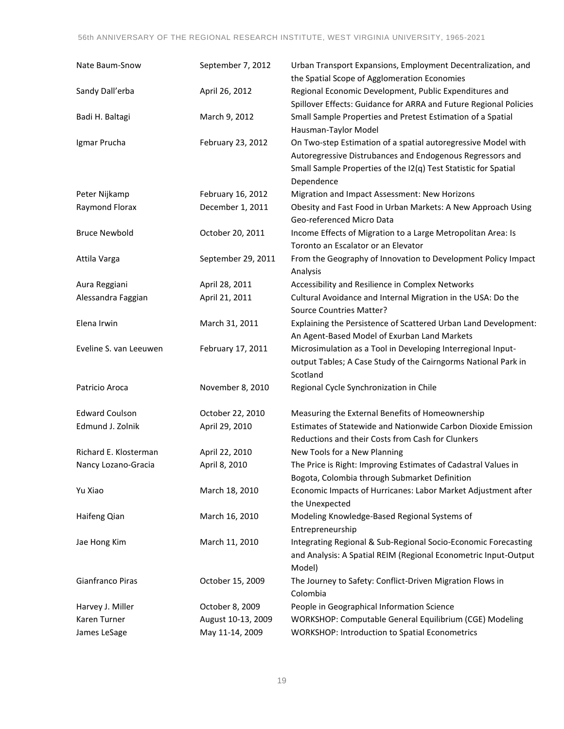| Nate Baum-Snow         | September 7, 2012  | Urban Transport Expansions, Employment Decentralization, and<br>the Spatial Scope of Agglomeration Economies                                                                                                |
|------------------------|--------------------|-------------------------------------------------------------------------------------------------------------------------------------------------------------------------------------------------------------|
| Sandy Dall'erba        | April 26, 2012     | Regional Economic Development, Public Expenditures and<br>Spillover Effects: Guidance for ARRA and Future Regional Policies                                                                                 |
| Badi H. Baltagi        | March 9, 2012      | Small Sample Properties and Pretest Estimation of a Spatial<br>Hausman-Taylor Model                                                                                                                         |
| Igmar Prucha           | February 23, 2012  | On Two-step Estimation of a spatial autoregressive Model with<br>Autoregressive Distrubances and Endogenous Regressors and<br>Small Sample Properties of the I2(q) Test Statistic for Spatial<br>Dependence |
| Peter Nijkamp          | February 16, 2012  | Migration and Impact Assessment: New Horizons                                                                                                                                                               |
| Raymond Florax         | December 1, 2011   | Obesity and Fast Food in Urban Markets: A New Approach Using<br>Geo-referenced Micro Data                                                                                                                   |
| <b>Bruce Newbold</b>   | October 20, 2011   | Income Effects of Migration to a Large Metropolitan Area: Is<br>Toronto an Escalator or an Elevator                                                                                                         |
| Attila Varga           | September 29, 2011 | From the Geography of Innovation to Development Policy Impact<br>Analysis                                                                                                                                   |
| Aura Reggiani          | April 28, 2011     | Accessibility and Resilience in Complex Networks                                                                                                                                                            |
| Alessandra Faggian     | April 21, 2011     | Cultural Avoidance and Internal Migration in the USA: Do the<br><b>Source Countries Matter?</b>                                                                                                             |
| Elena Irwin            | March 31, 2011     | Explaining the Persistence of Scattered Urban Land Development:<br>An Agent-Based Model of Exurban Land Markets                                                                                             |
| Eveline S. van Leeuwen | February 17, 2011  | Microsimulation as a Tool in Developing Interregional Input-<br>output Tables; A Case Study of the Cairngorms National Park in<br>Scotland                                                                  |
| Patricio Aroca         | November 8, 2010   | Regional Cycle Synchronization in Chile                                                                                                                                                                     |
| <b>Edward Coulson</b>  | October 22, 2010   | Measuring the External Benefits of Homeownership                                                                                                                                                            |
| Edmund J. Zolnik       | April 29, 2010     | Estimates of Statewide and Nationwide Carbon Dioxide Emission<br>Reductions and their Costs from Cash for Clunkers                                                                                          |
| Richard E. Klosterman  | April 22, 2010     | New Tools for a New Planning                                                                                                                                                                                |
| Nancy Lozano-Gracia    | April 8, 2010      | The Price is Right: Improving Estimates of Cadastral Values in<br>Bogota, Colombia through Submarket Definition                                                                                             |
| Yu Xiao                | March 18, 2010     | Economic Impacts of Hurricanes: Labor Market Adjustment after<br>the Unexpected                                                                                                                             |
| Haifeng Qian           | March 16, 2010     | Modeling Knowledge-Based Regional Systems of<br>Entrepreneurship                                                                                                                                            |
| Jae Hong Kim           | March 11, 2010     | Integrating Regional & Sub-Regional Socio-Economic Forecasting<br>and Analysis: A Spatial REIM (Regional Econometric Input-Output<br>Model)                                                                 |
| Gianfranco Piras       | October 15, 2009   | The Journey to Safety: Conflict-Driven Migration Flows in<br>Colombia                                                                                                                                       |
| Harvey J. Miller       | October 8, 2009    | People in Geographical Information Science                                                                                                                                                                  |
| Karen Turner           | August 10-13, 2009 | WORKSHOP: Computable General Equilibrium (CGE) Modeling                                                                                                                                                     |
| James LeSage           | May 11-14, 2009    | <b>WORKSHOP: Introduction to Spatial Econometrics</b>                                                                                                                                                       |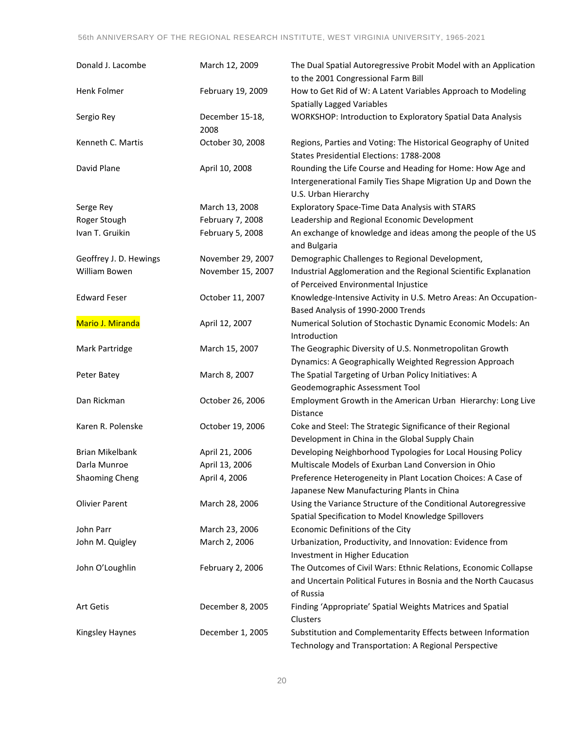#### 56th ANNIVERSARY OF THE REGIONAL RESEARCH INSTITUTE, WEST VIRGINIA UNIVERSITY, 1965-2021

| Donald J. Lacombe      | March 12, 2009          | The Dual Spatial Autoregressive Probit Model with an Application<br>to the 2001 Congressional Farm Bill                                             |
|------------------------|-------------------------|-----------------------------------------------------------------------------------------------------------------------------------------------------|
| Henk Folmer            | February 19, 2009       | How to Get Rid of W: A Latent Variables Approach to Modeling<br><b>Spatially Lagged Variables</b>                                                   |
| Sergio Rey             | December 15-18,<br>2008 | WORKSHOP: Introduction to Exploratory Spatial Data Analysis                                                                                         |
| Kenneth C. Martis      | October 30, 2008        | Regions, Parties and Voting: The Historical Geography of United<br>States Presidential Elections: 1788-2008                                         |
| David Plane            | April 10, 2008          | Rounding the Life Course and Heading for Home: How Age and<br>Intergenerational Family Ties Shape Migration Up and Down the<br>U.S. Urban Hierarchy |
| Serge Rey              | March 13, 2008          | Exploratory Space-Time Data Analysis with STARS                                                                                                     |
| Roger Stough           | February 7, 2008        | Leadership and Regional Economic Development                                                                                                        |
| Ivan T. Gruikin        | February 5, 2008        | An exchange of knowledge and ideas among the people of the US<br>and Bulgaria                                                                       |
| Geoffrey J. D. Hewings | November 29, 2007       | Demographic Challenges to Regional Development,                                                                                                     |
| William Bowen          | November 15, 2007       | Industrial Agglomeration and the Regional Scientific Explanation<br>of Perceived Environmental Injustice                                            |
| <b>Edward Feser</b>    | October 11, 2007        | Knowledge-Intensive Activity in U.S. Metro Areas: An Occupation-<br>Based Analysis of 1990-2000 Trends                                              |
| Mario J. Miranda       | April 12, 2007          | Numerical Solution of Stochastic Dynamic Economic Models: An<br>Introduction                                                                        |
| Mark Partridge         | March 15, 2007          | The Geographic Diversity of U.S. Nonmetropolitan Growth<br>Dynamics: A Geographically Weighted Regression Approach                                  |
| Peter Batey            | March 8, 2007           | The Spatial Targeting of Urban Policy Initiatives: A<br>Geodemographic Assessment Tool                                                              |
| Dan Rickman            | October 26, 2006        | Employment Growth in the American Urban Hierarchy: Long Live<br>Distance                                                                            |
| Karen R. Polenske      | October 19, 2006        | Coke and Steel: The Strategic Significance of their Regional<br>Development in China in the Global Supply Chain                                     |
| <b>Brian Mikelbank</b> | April 21, 2006          | Developing Neighborhood Typologies for Local Housing Policy                                                                                         |
| Darla Munroe           | April 13, 2006          | Multiscale Models of Exurban Land Conversion in Ohio                                                                                                |
| <b>Shaoming Cheng</b>  | April 4, 2006           | Preference Heterogeneity in Plant Location Choices: A Case of<br>Japanese New Manufacturing Plants in China                                         |
| <b>Olivier Parent</b>  | March 28, 2006          | Using the Variance Structure of the Conditional Autoregressive<br>Spatial Specification to Model Knowledge Spillovers                               |
| John Parr              | March 23, 2006          | Economic Definitions of the City                                                                                                                    |
| John M. Quigley        | March 2, 2006           | Urbanization, Productivity, and Innovation: Evidence from<br>Investment in Higher Education                                                         |
| John O'Loughlin        | February 2, 2006        | The Outcomes of Civil Wars: Ethnic Relations, Economic Collapse<br>and Uncertain Political Futures in Bosnia and the North Caucasus<br>of Russia    |
| Art Getis              | December 8, 2005        | Finding 'Appropriate' Spatial Weights Matrices and Spatial<br>Clusters                                                                              |
| Kingsley Haynes        | December 1, 2005        | Substitution and Complementarity Effects between Information<br>Technology and Transportation: A Regional Perspective                               |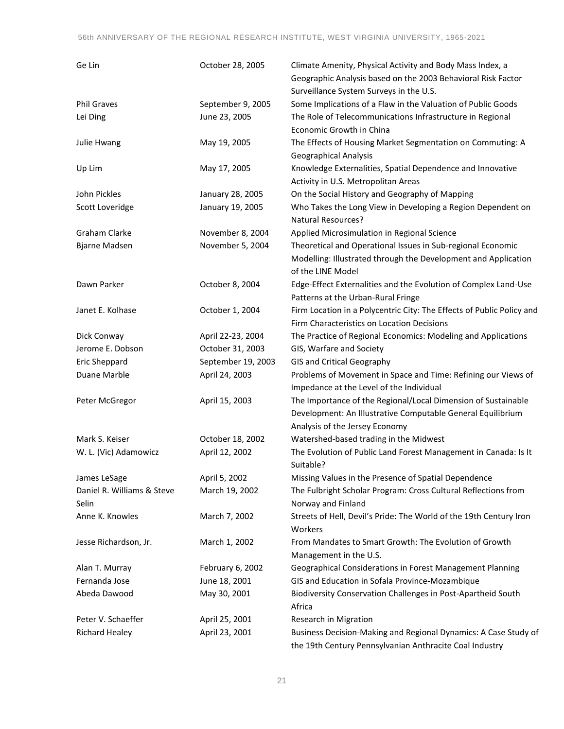| Ge Lin                              | October 28, 2005   | Climate Amenity, Physical Activity and Body Mass Index, a<br>Geographic Analysis based on the 2003 Behavioral Risk Factor                                      |
|-------------------------------------|--------------------|----------------------------------------------------------------------------------------------------------------------------------------------------------------|
|                                     |                    | Surveillance System Surveys in the U.S.                                                                                                                        |
| <b>Phil Graves</b>                  | September 9, 2005  | Some Implications of a Flaw in the Valuation of Public Goods                                                                                                   |
| Lei Ding                            | June 23, 2005      | The Role of Telecommunications Infrastructure in Regional<br>Economic Growth in China                                                                          |
| Julie Hwang                         | May 19, 2005       | The Effects of Housing Market Segmentation on Commuting: A<br><b>Geographical Analysis</b>                                                                     |
| Up Lim                              | May 17, 2005       | Knowledge Externalities, Spatial Dependence and Innovative                                                                                                     |
| John Pickles                        |                    | Activity in U.S. Metropolitan Areas                                                                                                                            |
|                                     | January 28, 2005   | On the Social History and Geography of Mapping                                                                                                                 |
| Scott Loveridge                     | January 19, 2005   | Who Takes the Long View in Developing a Region Dependent on<br><b>Natural Resources?</b>                                                                       |
| Graham Clarke                       | November 8, 2004   | Applied Microsimulation in Regional Science                                                                                                                    |
| <b>Bjarne Madsen</b>                | November 5, 2004   | Theoretical and Operational Issues in Sub-regional Economic<br>Modelling: Illustrated through the Development and Application<br>of the LINE Model             |
| Dawn Parker                         | October 8, 2004    | Edge-Effect Externalities and the Evolution of Complex Land-Use<br>Patterns at the Urban-Rural Fringe                                                          |
| Janet E. Kolhase                    | October 1, 2004    | Firm Location in a Polycentric City: The Effects of Public Policy and<br>Firm Characteristics on Location Decisions                                            |
| Dick Conway                         | April 22-23, 2004  | The Practice of Regional Economics: Modeling and Applications                                                                                                  |
| Jerome E. Dobson                    | October 31, 2003   | GIS, Warfare and Society                                                                                                                                       |
| <b>Eric Sheppard</b>                | September 19, 2003 | <b>GIS and Critical Geography</b>                                                                                                                              |
| Duane Marble                        | April 24, 2003     | Problems of Movement in Space and Time: Refining our Views of<br>Impedance at the Level of the Individual                                                      |
| Peter McGregor                      | April 15, 2003     | The Importance of the Regional/Local Dimension of Sustainable<br>Development: An Illustrative Computable General Equilibrium<br>Analysis of the Jersey Economy |
| Mark S. Keiser                      | October 18, 2002   | Watershed-based trading in the Midwest                                                                                                                         |
| W. L. (Vic) Adamowicz               | April 12, 2002     | The Evolution of Public Land Forest Management in Canada: Is It<br>Suitable?                                                                                   |
| James LeSage                        | April 5, 2002      | Missing Values in the Presence of Spatial Dependence                                                                                                           |
| Daniel R. Williams & Steve<br>Selin | March 19, 2002     | The Fulbright Scholar Program: Cross Cultural Reflections from<br>Norway and Finland                                                                           |
| Anne K. Knowles                     | March 7, 2002      | Streets of Hell, Devil's Pride: The World of the 19th Century Iron<br>Workers                                                                                  |
| Jesse Richardson, Jr.               | March 1, 2002      | From Mandates to Smart Growth: The Evolution of Growth<br>Management in the U.S.                                                                               |
| Alan T. Murray                      | February 6, 2002   | Geographical Considerations in Forest Management Planning                                                                                                      |
| Fernanda Jose                       | June 18, 2001      | GIS and Education in Sofala Province-Mozambique                                                                                                                |
| Abeda Dawood                        | May 30, 2001       | Biodiversity Conservation Challenges in Post-Apartheid South<br>Africa                                                                                         |
| Peter V. Schaeffer                  | April 25, 2001     | Research in Migration                                                                                                                                          |
| <b>Richard Healey</b>               | April 23, 2001     | Business Decision-Making and Regional Dynamics: A Case Study of<br>the 19th Century Pennsylvanian Anthracite Coal Industry                                     |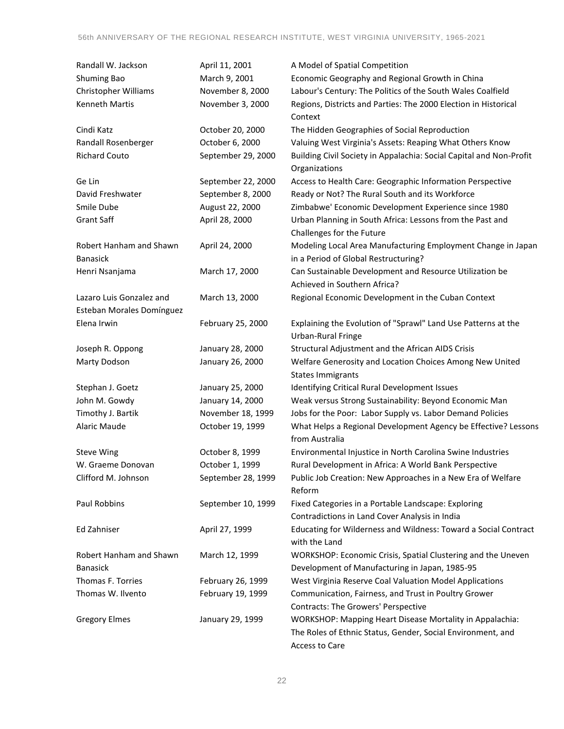| Randall W. Jackson        | April 11, 2001     | A Model of Spatial Competition                                      |
|---------------------------|--------------------|---------------------------------------------------------------------|
| Shuming Bao               | March 9, 2001      | Economic Geography and Regional Growth in China                     |
| Christopher Williams      | November 8, 2000   | Labour's Century: The Politics of the South Wales Coalfield         |
| Kenneth Martis            | November 3, 2000   | Regions, Districts and Parties: The 2000 Election in Historical     |
|                           |                    | Context                                                             |
| Cindi Katz                | October 20, 2000   | The Hidden Geographies of Social Reproduction                       |
| Randall Rosenberger       | October 6, 2000    | Valuing West Virginia's Assets: Reaping What Others Know            |
| <b>Richard Couto</b>      | September 29, 2000 | Building Civil Society in Appalachia: Social Capital and Non-Profit |
|                           |                    | Organizations                                                       |
| Ge Lin                    | September 22, 2000 | Access to Health Care: Geographic Information Perspective           |
| David Freshwater          | September 8, 2000  | Ready or Not? The Rural South and its Workforce                     |
| Smile Dube                | August 22, 2000    | Zimbabwe' Economic Development Experience since 1980                |
| <b>Grant Saff</b>         | April 28, 2000     | Urban Planning in South Africa: Lessons from the Past and           |
|                           |                    | Challenges for the Future                                           |
| Robert Hanham and Shawn   | April 24, 2000     | Modeling Local Area Manufacturing Employment Change in Japan        |
| <b>Banasick</b>           |                    | in a Period of Global Restructuring?                                |
| Henri Nsanjama            | March 17, 2000     | Can Sustainable Development and Resource Utilization be             |
|                           |                    | Achieved in Southern Africa?                                        |
| Lazaro Luis Gonzalez and  | March 13, 2000     | Regional Economic Development in the Cuban Context                  |
| Esteban Morales Domínguez |                    |                                                                     |
| Elena Irwin               | February 25, 2000  | Explaining the Evolution of "Sprawl" Land Use Patterns at the       |
|                           |                    | Urban-Rural Fringe                                                  |
| Joseph R. Oppong          | January 28, 2000   | Structural Adjustment and the African AIDS Crisis                   |
| Marty Dodson              | January 26, 2000   | Welfare Generosity and Location Choices Among New United            |
|                           |                    | <b>States Immigrants</b>                                            |
| Stephan J. Goetz          | January 25, 2000   | Identifying Critical Rural Development Issues                       |
| John M. Gowdy             | January 14, 2000   | Weak versus Strong Sustainability: Beyond Economic Man              |
| Timothy J. Bartik         | November 18, 1999  | Jobs for the Poor: Labor Supply vs. Labor Demand Policies           |
| <b>Alaric Maude</b>       | October 19, 1999   | What Helps a Regional Development Agency be Effective? Lessons      |
|                           |                    | from Australia                                                      |
| <b>Steve Wing</b>         | October 8, 1999    | Environmental Injustice in North Carolina Swine Industries          |
| W. Graeme Donovan         | October 1, 1999    | Rural Development in Africa: A World Bank Perspective               |
| Clifford M. Johnson       | September 28, 1999 | Public Job Creation: New Approaches in a New Era of Welfare         |
|                           |                    | Reform                                                              |
| Paul Robbins              | September 10, 1999 | Fixed Categories in a Portable Landscape: Exploring                 |
|                           |                    | Contradictions in Land Cover Analysis in India                      |
| Ed Zahniser               | April 27, 1999     | Educating for Wilderness and Wildness: Toward a Social Contract     |
|                           |                    | with the Land                                                       |
| Robert Hanham and Shawn   | March 12, 1999     | WORKSHOP: Economic Crisis, Spatial Clustering and the Uneven        |
| <b>Banasick</b>           |                    | Development of Manufacturing in Japan, 1985-95                      |
| Thomas F. Torries         | February 26, 1999  | West Virginia Reserve Coal Valuation Model Applications             |
| Thomas W. Ilvento         | February 19, 1999  | Communication, Fairness, and Trust in Poultry Grower                |
|                           |                    | Contracts: The Growers' Perspective                                 |
| <b>Gregory Elmes</b>      | January 29, 1999   | WORKSHOP: Mapping Heart Disease Mortality in Appalachia:            |
|                           |                    | The Roles of Ethnic Status, Gender, Social Environment, and         |
|                           |                    | Access to Care                                                      |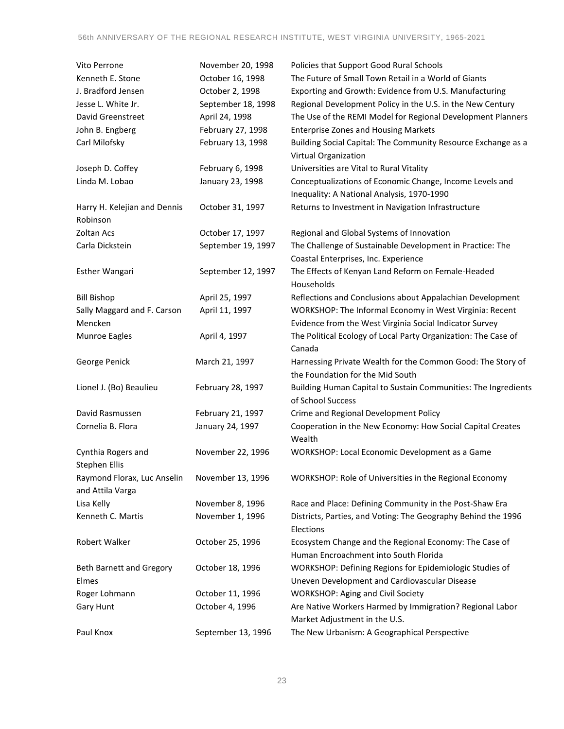| Vito Perrone                                    | November 20, 1998  | Policies that Support Good Rural Schools                                                               |
|-------------------------------------------------|--------------------|--------------------------------------------------------------------------------------------------------|
| Kenneth E. Stone                                | October 16, 1998   | The Future of Small Town Retail in a World of Giants                                                   |
| J. Bradford Jensen                              | October 2, 1998    | Exporting and Growth: Evidence from U.S. Manufacturing                                                 |
| Jesse L. White Jr.                              | September 18, 1998 | Regional Development Policy in the U.S. in the New Century                                             |
| David Greenstreet                               | April 24, 1998     | The Use of the REMI Model for Regional Development Planners                                            |
| John B. Engberg                                 | February 27, 1998  | <b>Enterprise Zones and Housing Markets</b>                                                            |
| Carl Milofsky                                   | February 13, 1998  | Building Social Capital: The Community Resource Exchange as a<br>Virtual Organization                  |
| Joseph D. Coffey                                | February 6, 1998   | Universities are Vital to Rural Vitality                                                               |
| Linda M. Lobao                                  | January 23, 1998   | Conceptualizations of Economic Change, Income Levels and<br>Inequality: A National Analysis, 1970-1990 |
| Harry H. Kelejian and Dennis<br>Robinson        | October 31, 1997   | Returns to Investment in Navigation Infrastructure                                                     |
| Zoltan Acs                                      | October 17, 1997   | Regional and Global Systems of Innovation                                                              |
| Carla Dickstein                                 | September 19, 1997 | The Challenge of Sustainable Development in Practice: The<br>Coastal Enterprises, Inc. Experience      |
| Esther Wangari                                  | September 12, 1997 | The Effects of Kenyan Land Reform on Female-Headed<br>Households                                       |
| <b>Bill Bishop</b>                              | April 25, 1997     | Reflections and Conclusions about Appalachian Development                                              |
| Sally Maggard and F. Carson                     | April 11, 1997     | WORKSHOP: The Informal Economy in West Virginia: Recent                                                |
| Mencken                                         |                    | Evidence from the West Virginia Social Indicator Survey                                                |
| Munroe Eagles                                   | April 4, 1997      | The Political Ecology of Local Party Organization: The Case of<br>Canada                               |
| George Penick                                   | March 21, 1997     | Harnessing Private Wealth for the Common Good: The Story of<br>the Foundation for the Mid South        |
| Lionel J. (Bo) Beaulieu                         | February 28, 1997  | Building Human Capital to Sustain Communities: The Ingredients<br>of School Success                    |
| David Rasmussen                                 | February 21, 1997  | Crime and Regional Development Policy                                                                  |
| Cornelia B. Flora                               | January 24, 1997   | Cooperation in the New Economy: How Social Capital Creates<br>Wealth                                   |
| Cynthia Rogers and<br><b>Stephen Ellis</b>      | November 22, 1996  | WORKSHOP: Local Economic Development as a Game                                                         |
| Raymond Florax, Luc Anselin<br>and Attila Varga | November 13, 1996  | WORKSHOP: Role of Universities in the Regional Economy                                                 |
| Lisa Kelly                                      | November 8, 1996   | Race and Place: Defining Community in the Post-Shaw Era                                                |
| Kenneth C. Martis                               | November 1, 1996   | Districts, Parties, and Voting: The Geography Behind the 1996<br>Elections                             |
| Robert Walker                                   | October 25, 1996   | Ecosystem Change and the Regional Economy: The Case of<br>Human Encroachment into South Florida        |
| Beth Barnett and Gregory                        | October 18, 1996   | WORKSHOP: Defining Regions for Epidemiologic Studies of                                                |
| Elmes                                           |                    | Uneven Development and Cardiovascular Disease                                                          |
| Roger Lohmann                                   | October 11, 1996   | <b>WORKSHOP: Aging and Civil Society</b>                                                               |
| Gary Hunt                                       | October 4, 1996    | Are Native Workers Harmed by Immigration? Regional Labor<br>Market Adjustment in the U.S.              |
| Paul Knox                                       | September 13, 1996 | The New Urbanism: A Geographical Perspective                                                           |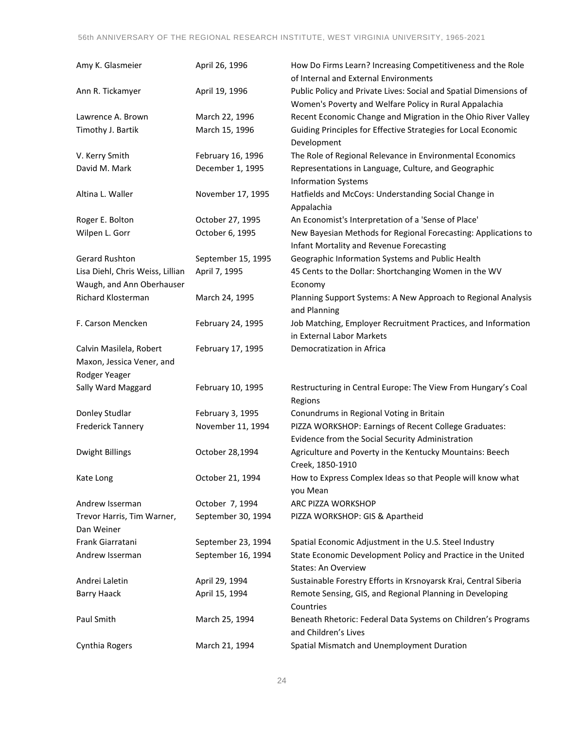| Amy K. Glasmeier                                                      | April 26, 1996     | How Do Firms Learn? Increasing Competitiveness and the Role<br>of Internal and External Environments                        |
|-----------------------------------------------------------------------|--------------------|-----------------------------------------------------------------------------------------------------------------------------|
| Ann R. Tickamyer                                                      | April 19, 1996     | Public Policy and Private Lives: Social and Spatial Dimensions of<br>Women's Poverty and Welfare Policy in Rural Appalachia |
| Lawrence A. Brown                                                     | March 22, 1996     | Recent Economic Change and Migration in the Ohio River Valley                                                               |
| Timothy J. Bartik                                                     | March 15, 1996     | Guiding Principles for Effective Strategies for Local Economic<br>Development                                               |
| V. Kerry Smith                                                        | February 16, 1996  | The Role of Regional Relevance in Environmental Economics                                                                   |
| David M. Mark                                                         | December 1, 1995   | Representations in Language, Culture, and Geographic<br><b>Information Systems</b>                                          |
| Altina L. Waller                                                      | November 17, 1995  | Hatfields and McCoys: Understanding Social Change in<br>Appalachia                                                          |
| Roger E. Bolton                                                       | October 27, 1995   | An Economist's Interpretation of a 'Sense of Place'                                                                         |
| Wilpen L. Gorr                                                        | October 6, 1995    | New Bayesian Methods for Regional Forecasting: Applications to<br>Infant Mortality and Revenue Forecasting                  |
| <b>Gerard Rushton</b>                                                 | September 15, 1995 | Geographic Information Systems and Public Health                                                                            |
| Lisa Diehl, Chris Weiss, Lillian                                      | April 7, 1995      | 45 Cents to the Dollar: Shortchanging Women in the WV                                                                       |
| Waugh, and Ann Oberhauser                                             |                    | Economy                                                                                                                     |
| <b>Richard Klosterman</b>                                             | March 24, 1995     | Planning Support Systems: A New Approach to Regional Analysis<br>and Planning                                               |
| F. Carson Mencken                                                     | February 24, 1995  | Job Matching, Employer Recruitment Practices, and Information<br>in External Labor Markets                                  |
| Calvin Masilela, Robert<br>Maxon, Jessica Vener, and<br>Rodger Yeager | February 17, 1995  | Democratization in Africa                                                                                                   |
| Sally Ward Maggard                                                    | February 10, 1995  | Restructuring in Central Europe: The View From Hungary's Coal<br>Regions                                                    |
| Donley Studlar                                                        | February 3, 1995   | Conundrums in Regional Voting in Britain                                                                                    |
| <b>Frederick Tannery</b>                                              | November 11, 1994  | PIZZA WORKSHOP: Earnings of Recent College Graduates:<br>Evidence from the Social Security Administration                   |
| Dwight Billings                                                       | October 28,1994    | Agriculture and Poverty in the Kentucky Mountains: Beech<br>Creek, 1850-1910                                                |
| Kate Long                                                             | October 21, 1994   | How to Express Complex Ideas so that People will know what<br>you Mean                                                      |
| Andrew Isserman                                                       | October 7, 1994    | ARC PIZZA WORKSHOP                                                                                                          |
| Trevor Harris, Tim Warner,                                            | September 30, 1994 | PIZZA WORKSHOP: GIS & Apartheid                                                                                             |
| Dan Weiner                                                            |                    |                                                                                                                             |
| Frank Giarratani                                                      | September 23, 1994 | Spatial Economic Adjustment in the U.S. Steel Industry                                                                      |
| Andrew Isserman                                                       | September 16, 1994 | State Economic Development Policy and Practice in the United<br><b>States: An Overview</b>                                  |
| Andrei Laletin                                                        | April 29, 1994     | Sustainable Forestry Efforts in Krsnoyarsk Krai, Central Siberia                                                            |
| <b>Barry Haack</b>                                                    | April 15, 1994     | Remote Sensing, GIS, and Regional Planning in Developing<br>Countries                                                       |
| Paul Smith                                                            | March 25, 1994     | Beneath Rhetoric: Federal Data Systems on Children's Programs<br>and Children's Lives                                       |
| Cynthia Rogers                                                        | March 21, 1994     | Spatial Mismatch and Unemployment Duration                                                                                  |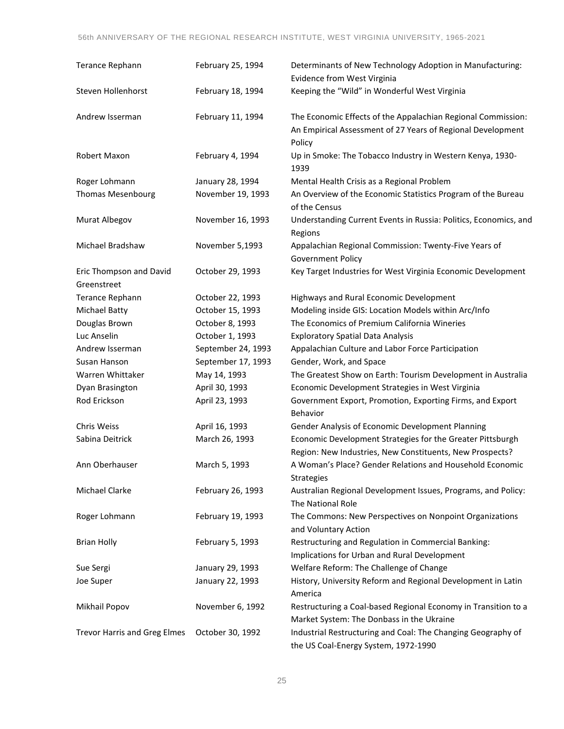| Terance Rephann                        | February 25, 1994  | Determinants of New Technology Adoption in Manufacturing:<br>Evidence from West Virginia                                              |
|----------------------------------------|--------------------|---------------------------------------------------------------------------------------------------------------------------------------|
| Steven Hollenhorst                     | February 18, 1994  | Keeping the "Wild" in Wonderful West Virginia                                                                                         |
| Andrew Isserman                        | February 11, 1994  | The Economic Effects of the Appalachian Regional Commission:<br>An Empirical Assessment of 27 Years of Regional Development<br>Policy |
| Robert Maxon                           | February 4, 1994   | Up in Smoke: The Tobacco Industry in Western Kenya, 1930-<br>1939                                                                     |
| Roger Lohmann                          | January 28, 1994   | Mental Health Crisis as a Regional Problem                                                                                            |
| <b>Thomas Mesenbourg</b>               | November 19, 1993  | An Overview of the Economic Statistics Program of the Bureau<br>of the Census                                                         |
| Murat Albegov                          | November 16, 1993  | Understanding Current Events in Russia: Politics, Economics, and<br>Regions                                                           |
| Michael Bradshaw                       | November 5,1993    | Appalachian Regional Commission: Twenty-Five Years of<br><b>Government Policy</b>                                                     |
| Eric Thompson and David<br>Greenstreet | October 29, 1993   | Key Target Industries for West Virginia Economic Development                                                                          |
| Terance Rephann                        | October 22, 1993   | Highways and Rural Economic Development                                                                                               |
| <b>Michael Batty</b>                   | October 15, 1993   | Modeling inside GIS: Location Models within Arc/Info                                                                                  |
| Douglas Brown                          | October 8, 1993    | The Economics of Premium California Wineries                                                                                          |
| Luc Anselin                            | October 1, 1993    | <b>Exploratory Spatial Data Analysis</b>                                                                                              |
| Andrew Isserman                        | September 24, 1993 | Appalachian Culture and Labor Force Participation                                                                                     |
| Susan Hanson                           | September 17, 1993 | Gender, Work, and Space                                                                                                               |
| Warren Whittaker                       | May 14, 1993       | The Greatest Show on Earth: Tourism Development in Australia                                                                          |
| Dyan Brasington                        | April 30, 1993     | Economic Development Strategies in West Virginia                                                                                      |
| Rod Erickson                           | April 23, 1993     | Government Export, Promotion, Exporting Firms, and Export<br>Behavior                                                                 |
| Chris Weiss                            | April 16, 1993     | Gender Analysis of Economic Development Planning                                                                                      |
| Sabina Deitrick                        | March 26, 1993     | Economic Development Strategies for the Greater Pittsburgh<br>Region: New Industries, New Constituents, New Prospects?                |
| Ann Oberhauser                         | March 5, 1993      | A Woman's Place? Gender Relations and Household Economic<br><b>Strategies</b>                                                         |
| Michael Clarke                         | February 26, 1993  | Australian Regional Development Issues, Programs, and Policy:<br>The National Role                                                    |
| Roger Lohmann                          | February 19, 1993  | The Commons: New Perspectives on Nonpoint Organizations<br>and Voluntary Action                                                       |
| <b>Brian Holly</b>                     | February 5, 1993   | Restructuring and Regulation in Commercial Banking:<br>Implications for Urban and Rural Development                                   |
| Sue Sergi                              | January 29, 1993   | Welfare Reform: The Challenge of Change                                                                                               |
| Joe Super                              | January 22, 1993   | History, University Reform and Regional Development in Latin<br>America                                                               |
| Mikhail Popov                          | November 6, 1992   | Restructuring a Coal-based Regional Economy in Transition to a<br>Market System: The Donbass in the Ukraine                           |
| <b>Trevor Harris and Greg Elmes</b>    | October 30, 1992   | Industrial Restructuring and Coal: The Changing Geography of<br>the US Coal-Energy System, 1972-1990                                  |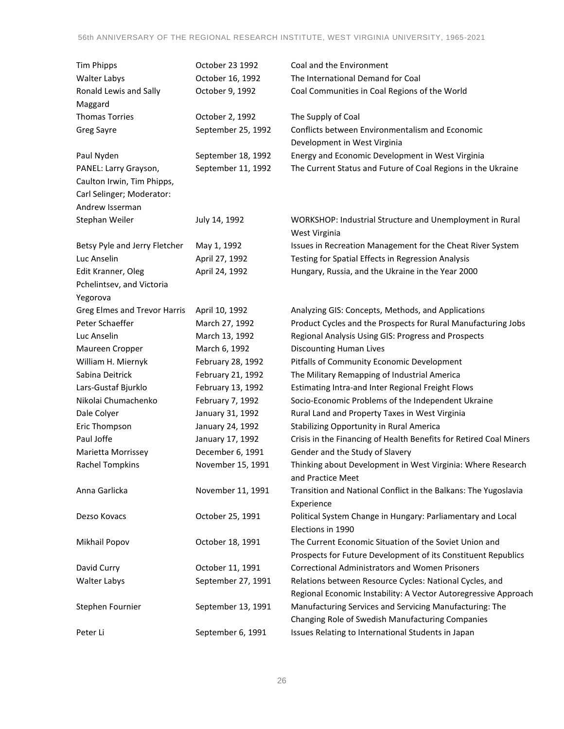| <b>Tim Phipps</b>                   | October 23 1992    | Coal and the Environment                                                         |
|-------------------------------------|--------------------|----------------------------------------------------------------------------------|
| <b>Walter Labys</b>                 | October 16, 1992   | The International Demand for Coal                                                |
| Ronald Lewis and Sally              | October 9, 1992    | Coal Communities in Coal Regions of the World                                    |
| Maggard                             |                    |                                                                                  |
| <b>Thomas Torries</b>               | October 2, 1992    | The Supply of Coal                                                               |
| Greg Sayre                          | September 25, 1992 | Conflicts between Environmentalism and Economic                                  |
|                                     |                    | Development in West Virginia                                                     |
| Paul Nyden                          | September 18, 1992 | Energy and Economic Development in West Virginia                                 |
| PANEL: Larry Grayson,               | September 11, 1992 | The Current Status and Future of Coal Regions in the Ukraine                     |
| Caulton Irwin, Tim Phipps,          |                    |                                                                                  |
| Carl Selinger; Moderator:           |                    |                                                                                  |
| Andrew Isserman                     |                    |                                                                                  |
| Stephan Weiler                      | July 14, 1992      | WORKSHOP: Industrial Structure and Unemployment in Rural<br>West Virginia        |
| Betsy Pyle and Jerry Fletcher       | May 1, 1992        | Issues in Recreation Management for the Cheat River System                       |
| Luc Anselin                         | April 27, 1992     | Testing for Spatial Effects in Regression Analysis                               |
| Edit Kranner, Oleg                  | April 24, 1992     | Hungary, Russia, and the Ukraine in the Year 2000                                |
| Pchelintsev, and Victoria           |                    |                                                                                  |
| Yegorova                            |                    |                                                                                  |
| <b>Greg Elmes and Trevor Harris</b> | April 10, 1992     | Analyzing GIS: Concepts, Methods, and Applications                               |
| Peter Schaeffer                     | March 27, 1992     | Product Cycles and the Prospects for Rural Manufacturing Jobs                    |
| Luc Anselin                         | March 13, 1992     | Regional Analysis Using GIS: Progress and Prospects                              |
| Maureen Cropper                     | March 6, 1992      | <b>Discounting Human Lives</b>                                                   |
| William H. Miernyk                  | February 28, 1992  | Pitfalls of Community Economic Development                                       |
| Sabina Deitrick                     | February 21, 1992  | The Military Remapping of Industrial America                                     |
| Lars-Gustaf Bjurklo                 | February 13, 1992  | Estimating Intra-and Inter Regional Freight Flows                                |
| Nikolai Chumachenko                 | February 7, 1992   | Socio-Economic Problems of the Independent Ukraine                               |
| Dale Colyer                         | January 31, 1992   | Rural Land and Property Taxes in West Virginia                                   |
| Eric Thompson                       | January 24, 1992   | Stabilizing Opportunity in Rural America                                         |
| Paul Joffe                          | January 17, 1992   | Crisis in the Financing of Health Benefits for Retired Coal Miners               |
| Marietta Morrissey                  | December 6, 1991   | Gender and the Study of Slavery                                                  |
| <b>Rachel Tompkins</b>              | November 15, 1991  | Thinking about Development in West Virginia: Where Research<br>and Practice Meet |
| Anna Garlicka                       | November 11, 1991  | Transition and National Conflict in the Balkans: The Yugoslavia<br>Experience    |
| Dezso Kovacs                        | October 25, 1991   | Political System Change in Hungary: Parliamentary and Local<br>Elections in 1990 |
| Mikhail Popov                       | October 18, 1991   | The Current Economic Situation of the Soviet Union and                           |
|                                     |                    | Prospects for Future Development of its Constituent Republics                    |
| David Curry                         | October 11, 1991   | <b>Correctional Administrators and Women Prisoners</b>                           |
| <b>Walter Labys</b>                 | September 27, 1991 | Relations between Resource Cycles: National Cycles, and                          |
|                                     |                    | Regional Economic Instability: A Vector Autoregressive Approach                  |
| Stephen Fournier                    | September 13, 1991 | Manufacturing Services and Servicing Manufacturing: The                          |
|                                     |                    | Changing Role of Swedish Manufacturing Companies                                 |
| Peter Li                            | September 6, 1991  | Issues Relating to International Students in Japan                               |
|                                     |                    |                                                                                  |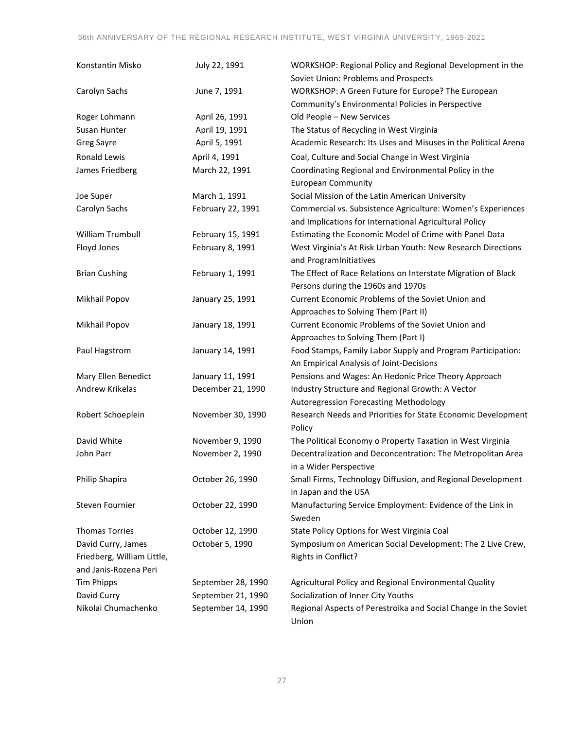| Konstantin Misko                                    | July 22, 1991      | WORKSHOP: Regional Policy and Regional Development in the<br>Soviet Union: Problems and Prospects                     |
|-----------------------------------------------------|--------------------|-----------------------------------------------------------------------------------------------------------------------|
| Carolyn Sachs                                       | June 7, 1991       | WORKSHOP: A Green Future for Europe? The European<br>Community's Environmental Policies in Perspective                |
| Roger Lohmann                                       | April 26, 1991     | Old People - New Services                                                                                             |
| Susan Hunter                                        | April 19, 1991     | The Status of Recycling in West Virginia                                                                              |
| Greg Sayre                                          | April 5, 1991      | Academic Research: Its Uses and Misuses in the Political Arena                                                        |
| <b>Ronald Lewis</b>                                 | April 4, 1991      | Coal, Culture and Social Change in West Virginia                                                                      |
| James Friedberg                                     | March 22, 1991     | Coordinating Regional and Environmental Policy in the<br><b>European Community</b>                                    |
| Joe Super                                           | March 1, 1991      | Social Mission of the Latin American University                                                                       |
| Carolyn Sachs                                       | February 22, 1991  | Commercial vs. Subsistence Agriculture: Women's Experiences<br>and Implications for International Agricultural Policy |
| <b>William Trumbull</b>                             | February 15, 1991  | Estimating the Economic Model of Crime with Panel Data                                                                |
| Floyd Jones                                         | February 8, 1991   | West Virginia's At Risk Urban Youth: New Research Directions<br>and ProgramInitiatives                                |
| <b>Brian Cushing</b>                                | February 1, 1991   | The Effect of Race Relations on Interstate Migration of Black<br>Persons during the 1960s and 1970s                   |
| Mikhail Popov                                       | January 25, 1991   | Current Economic Problems of the Soviet Union and                                                                     |
|                                                     |                    | Approaches to Solving Them (Part II)                                                                                  |
| Mikhail Popov                                       | January 18, 1991   | Current Economic Problems of the Soviet Union and                                                                     |
|                                                     |                    | Approaches to Solving Them (Part I)                                                                                   |
| Paul Hagstrom                                       | January 14, 1991   | Food Stamps, Family Labor Supply and Program Participation:                                                           |
|                                                     |                    | An Empirical Analysis of Joint-Decisions                                                                              |
| Mary Ellen Benedict                                 | January 11, 1991   | Pensions and Wages: An Hedonic Price Theory Approach                                                                  |
| Andrew Krikelas                                     | December 21, 1990  | Industry Structure and Regional Growth: A Vector                                                                      |
|                                                     |                    | Autoregression Forecasting Methodology                                                                                |
| Robert Schoeplein                                   | November 30, 1990  | Research Needs and Priorities for State Economic Development<br>Policy                                                |
| David White                                         | November 9, 1990   | The Political Economy o Property Taxation in West Virginia                                                            |
| John Parr                                           | November 2, 1990   | Decentralization and Deconcentration: The Metropolitan Area<br>in a Wider Perspective                                 |
| Philip Shapira                                      | October 26, 1990   | Small Firms, Technology Diffusion, and Regional Development<br>in Japan and the USA                                   |
| Steven Fournier                                     | October 22, 1990   | Manufacturing Service Employment: Evidence of the Link in<br>Sweden                                                   |
| <b>Thomas Torries</b>                               | October 12, 1990   | State Policy Options for West Virginia Coal                                                                           |
| David Curry, James                                  | October 5, 1990    | Symposium on American Social Development: The 2 Live Crew,                                                            |
| Friedberg, William Little,<br>and Janis-Rozena Peri |                    | Rights in Conflict?                                                                                                   |
| <b>Tim Phipps</b>                                   | September 28, 1990 | Agricultural Policy and Regional Environmental Quality                                                                |
| David Curry                                         | September 21, 1990 | Socialization of Inner City Youths                                                                                    |
| Nikolai Chumachenko                                 | September 14, 1990 | Regional Aspects of Perestroika and Social Change in the Soviet<br>Union                                              |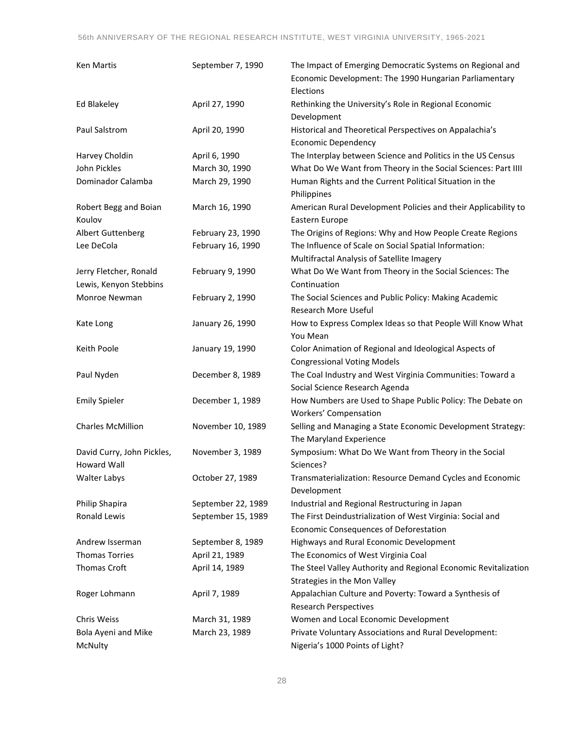| Ken Martis                      | September 7, 1990  | The Impact of Emerging Democratic Systems on Regional and<br>Economic Development: The 1990 Hungarian Parliamentary<br>Elections |
|---------------------------------|--------------------|----------------------------------------------------------------------------------------------------------------------------------|
| Ed Blakeley                     | April 27, 1990     | Rethinking the University's Role in Regional Economic<br>Development                                                             |
| Paul Salstrom                   | April 20, 1990     | Historical and Theoretical Perspectives on Appalachia's<br><b>Economic Dependency</b>                                            |
| Harvey Choldin                  | April 6, 1990      | The Interplay between Science and Politics in the US Census                                                                      |
| John Pickles                    | March 30, 1990     | What Do We Want from Theory in the Social Sciences: Part IIII                                                                    |
| Dominador Calamba               | March 29, 1990     | Human Rights and the Current Political Situation in the<br>Philippines                                                           |
| Robert Begg and Boian<br>Koulov | March 16, 1990     | American Rural Development Policies and their Applicability to<br>Eastern Europe                                                 |
| Albert Guttenberg               | February 23, 1990  | The Origins of Regions: Why and How People Create Regions                                                                        |
| Lee DeCola                      | February 16, 1990  | The Influence of Scale on Social Spatial Information:                                                                            |
|                                 |                    | Multifractal Analysis of Satellite Imagery                                                                                       |
| Jerry Fletcher, Ronald          | February 9, 1990   | What Do We Want from Theory in the Social Sciences: The                                                                          |
| Lewis, Kenyon Stebbins          |                    | Continuation                                                                                                                     |
| Monroe Newman                   | February 2, 1990   | The Social Sciences and Public Policy: Making Academic                                                                           |
|                                 |                    | <b>Research More Useful</b>                                                                                                      |
| Kate Long                       | January 26, 1990   | How to Express Complex Ideas so that People Will Know What                                                                       |
|                                 |                    | You Mean                                                                                                                         |
| Keith Poole                     | January 19, 1990   | Color Animation of Regional and Ideological Aspects of<br><b>Congressional Voting Models</b>                                     |
| Paul Nyden                      | December 8, 1989   | The Coal Industry and West Virginia Communities: Toward a                                                                        |
|                                 |                    | Social Science Research Agenda                                                                                                   |
| <b>Emily Spieler</b>            | December 1, 1989   | How Numbers are Used to Shape Public Policy: The Debate on                                                                       |
|                                 |                    | Workers' Compensation                                                                                                            |
| <b>Charles McMillion</b>        | November 10, 1989  | Selling and Managing a State Economic Development Strategy:                                                                      |
|                                 |                    | The Maryland Experience                                                                                                          |
| David Curry, John Pickles,      | November 3, 1989   | Symposium: What Do We Want from Theory in the Social                                                                             |
| <b>Howard Wall</b>              |                    | Sciences?                                                                                                                        |
| <b>Walter Labys</b>             | October 27, 1989   | Transmaterialization: Resource Demand Cycles and Economic<br>Development                                                         |
| Philip Shapira                  | September 22, 1989 | Industrial and Regional Restructuring in Japan                                                                                   |
| Ronald Lewis                    | September 15, 1989 | The First Deindustrialization of West Virginia: Social and<br>Economic Consequences of Deforestation                             |
| Andrew Isserman                 | September 8, 1989  | Highways and Rural Economic Development                                                                                          |
| <b>Thomas Torries</b>           | April 21, 1989     | The Economics of West Virginia Coal                                                                                              |
| Thomas Croft                    | April 14, 1989     | The Steel Valley Authority and Regional Economic Revitalization<br>Strategies in the Mon Valley                                  |
| Roger Lohmann                   | April 7, 1989      | Appalachian Culture and Poverty: Toward a Synthesis of                                                                           |
|                                 |                    | <b>Research Perspectives</b>                                                                                                     |
| <b>Chris Weiss</b>              | March 31, 1989     | Women and Local Economic Development                                                                                             |
| <b>Bola Ayeni and Mike</b>      | March 23, 1989     | Private Voluntary Associations and Rural Development:                                                                            |
| McNulty                         |                    | Nigeria's 1000 Points of Light?                                                                                                  |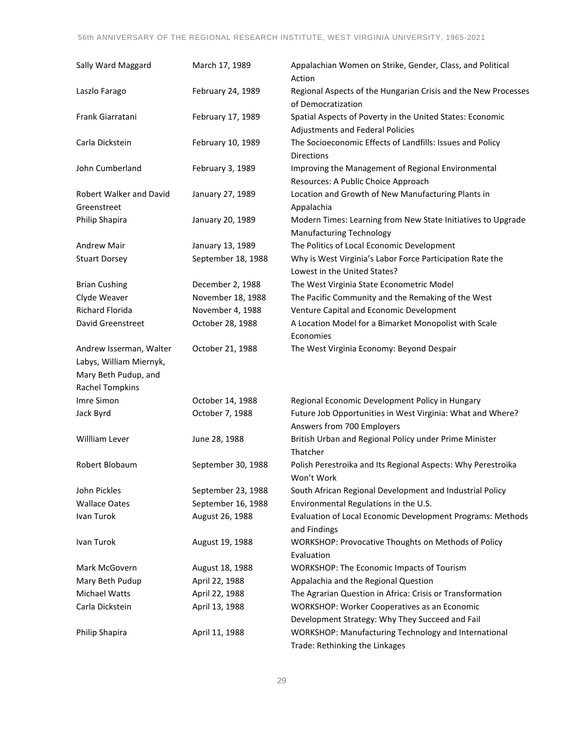| Sally Ward Maggard                                                         | March 17, 1989     | Appalachian Women on Strike, Gender, Class, and Political<br>Action                             |
|----------------------------------------------------------------------------|--------------------|-------------------------------------------------------------------------------------------------|
| Laszlo Farago                                                              | February 24, 1989  | Regional Aspects of the Hungarian Crisis and the New Processes<br>of Democratization            |
| Frank Giarratani                                                           | February 17, 1989  | Spatial Aspects of Poverty in the United States: Economic<br>Adjustments and Federal Policies   |
| Carla Dickstein                                                            | February 10, 1989  | The Socioeconomic Effects of Landfills: Issues and Policy<br><b>Directions</b>                  |
| John Cumberland                                                            | February 3, 1989   | Improving the Management of Regional Environmental<br>Resources: A Public Choice Approach       |
| <b>Robert Walker and David</b><br>Greenstreet                              | January 27, 1989   | Location and Growth of New Manufacturing Plants in<br>Appalachia                                |
| Philip Shapira                                                             | January 20, 1989   | Modern Times: Learning from New State Initiatives to Upgrade<br><b>Manufacturing Technology</b> |
| <b>Andrew Mair</b>                                                         | January 13, 1989   | The Politics of Local Economic Development                                                      |
| <b>Stuart Dorsey</b>                                                       | September 18, 1988 | Why is West Virginia's Labor Force Participation Rate the<br>Lowest in the United States?       |
| <b>Brian Cushing</b>                                                       | December 2, 1988   | The West Virginia State Econometric Model                                                       |
| Clyde Weaver                                                               | November 18, 1988  | The Pacific Community and the Remaking of the West                                              |
| <b>Richard Florida</b>                                                     | November 4, 1988   | Venture Capital and Economic Development                                                        |
| David Greenstreet                                                          | October 28, 1988   | A Location Model for a Bimarket Monopolist with Scale                                           |
|                                                                            |                    | Economies                                                                                       |
| Andrew Isserman, Walter<br>Labys, William Miernyk,<br>Mary Beth Pudup, and | October 21, 1988   | The West Virginia Economy: Beyond Despair                                                       |
| <b>Rachel Tompkins</b>                                                     |                    |                                                                                                 |
| Imre Simon                                                                 | October 14, 1988   | Regional Economic Development Policy in Hungary                                                 |
| Jack Byrd                                                                  | October 7, 1988    | Future Job Opportunities in West Virginia: What and Where?<br>Answers from 700 Employers        |
| Willliam Lever                                                             | June 28, 1988      | British Urban and Regional Policy under Prime Minister<br>Thatcher                              |
| Robert Blobaum                                                             | September 30, 1988 | Polish Perestroika and Its Regional Aspects: Why Perestroika<br>Won't Work                      |
| John Pickles                                                               | September 23, 1988 | South African Regional Development and Industrial Policy                                        |
| <b>Wallace Oates</b>                                                       | September 16, 1988 | Environmental Regulations in the U.S.                                                           |
| Ivan Turok                                                                 | August 26, 1988    | Evaluation of Local Economic Development Programs: Methods<br>and Findings                      |
| Ivan Turok                                                                 | August 19, 1988    | WORKSHOP: Provocative Thoughts on Methods of Policy<br>Evaluation                               |
| Mark McGovern                                                              | August 18, 1988    | WORKSHOP: The Economic Impacts of Tourism                                                       |
| Mary Beth Pudup                                                            | April 22, 1988     | Appalachia and the Regional Question                                                            |
| <b>Michael Watts</b>                                                       | April 22, 1988     | The Agrarian Question in Africa: Crisis or Transformation                                       |
| Carla Dickstein                                                            | April 13, 1988     | <b>WORKSHOP: Worker Cooperatives as an Economic</b>                                             |
|                                                                            |                    | Development Strategy: Why They Succeed and Fail                                                 |
| Philip Shapira                                                             | April 11, 1988     | WORKSHOP: Manufacturing Technology and International<br>Trade: Rethinking the Linkages          |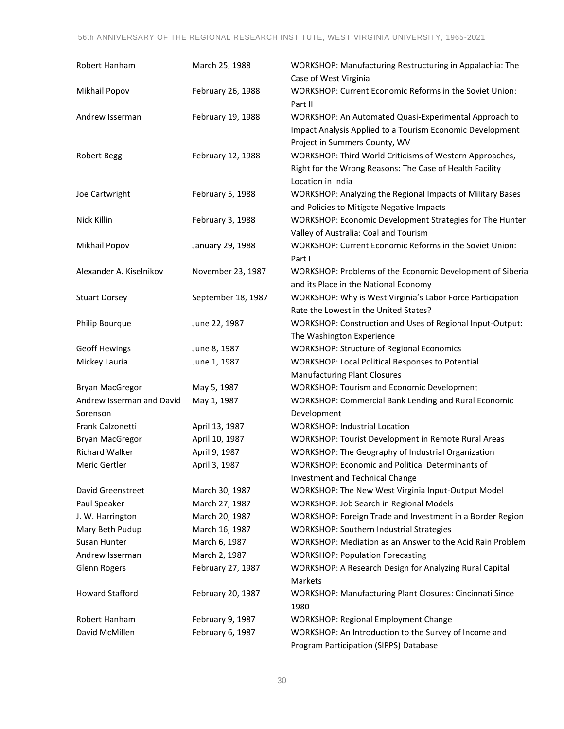| Robert Hanham             | March 25, 1988     | WORKSHOP: Manufacturing Restructuring in Appalachia: The<br>Case of West Virginia          |
|---------------------------|--------------------|--------------------------------------------------------------------------------------------|
| Mikhail Popov             | February 26, 1988  | WORKSHOP: Current Economic Reforms in the Soviet Union:<br>Part II                         |
| Andrew Isserman           | February 19, 1988  | WORKSHOP: An Automated Quasi-Experimental Approach to                                      |
|                           |                    | Impact Analysis Applied to a Tourism Economic Development<br>Project in Summers County, WV |
| Robert Begg               | February 12, 1988  | WORKSHOP: Third World Criticisms of Western Approaches,                                    |
|                           |                    | Right for the Wrong Reasons: The Case of Health Facility                                   |
|                           |                    | Location in India                                                                          |
| Joe Cartwright            | February 5, 1988   | WORKSHOP: Analyzing the Regional Impacts of Military Bases                                 |
|                           |                    | and Policies to Mitigate Negative Impacts                                                  |
| Nick Killin               | February 3, 1988   | WORKSHOP: Economic Development Strategies for The Hunter                                   |
|                           |                    | Valley of Australia: Coal and Tourism                                                      |
| Mikhail Popov             | January 29, 1988   | WORKSHOP: Current Economic Reforms in the Soviet Union:                                    |
|                           |                    | Part I                                                                                     |
| Alexander A. Kiselnikov   | November 23, 1987  | WORKSHOP: Problems of the Economic Development of Siberia                                  |
|                           |                    | and its Place in the National Economy                                                      |
| <b>Stuart Dorsey</b>      | September 18, 1987 | WORKSHOP: Why is West Virginia's Labor Force Participation                                 |
|                           |                    | Rate the Lowest in the United States?                                                      |
| Philip Bourque            | June 22, 1987      | WORKSHOP: Construction and Uses of Regional Input-Output:                                  |
|                           |                    | The Washington Experience                                                                  |
| <b>Geoff Hewings</b>      | June 8, 1987       | <b>WORKSHOP: Structure of Regional Economics</b>                                           |
| Mickey Lauria             | June 1, 1987       | <b>WORKSHOP: Local Political Responses to Potential</b>                                    |
|                           |                    | <b>Manufacturing Plant Closures</b>                                                        |
| <b>Bryan MacGregor</b>    | May 5, 1987        | <b>WORKSHOP: Tourism and Economic Development</b>                                          |
| Andrew Isserman and David | May 1, 1987        | WORKSHOP: Commercial Bank Lending and Rural Economic                                       |
| Sorenson                  |                    | Development                                                                                |
| Frank Calzonetti          | April 13, 1987     | <b>WORKSHOP: Industrial Location</b>                                                       |
| Bryan MacGregor           | April 10, 1987     | WORKSHOP: Tourist Development in Remote Rural Areas                                        |
| <b>Richard Walker</b>     | April 9, 1987      | WORKSHOP: The Geography of Industrial Organization                                         |
| Meric Gertler             | April 3, 1987      | <b>WORKSHOP: Economic and Political Determinants of</b>                                    |
|                           |                    | Investment and Technical Change                                                            |
| David Greenstreet         | March 30, 1987     | WORKSHOP: The New West Virginia Input-Output Model                                         |
| Paul Speaker              | March 27, 1987     | <b>WORKSHOP: Job Search in Regional Models</b>                                             |
| J. W. Harrington          | March 20, 1987     | WORKSHOP: Foreign Trade and Investment in a Border Region                                  |
| Mary Beth Pudup           | March 16, 1987     | <b>WORKSHOP: Southern Industrial Strategies</b>                                            |
| Susan Hunter              | March 6, 1987      | WORKSHOP: Mediation as an Answer to the Acid Rain Problem                                  |
| Andrew Isserman           | March 2, 1987      | <b>WORKSHOP: Population Forecasting</b>                                                    |
| <b>Glenn Rogers</b>       | February 27, 1987  | WORKSHOP: A Research Design for Analyzing Rural Capital<br>Markets                         |
| <b>Howard Stafford</b>    | February 20, 1987  | WORKSHOP: Manufacturing Plant Closures: Cincinnati Since<br>1980                           |
| Robert Hanham             | February 9, 1987   | <b>WORKSHOP: Regional Employment Change</b>                                                |
| David McMillen            | February 6, 1987   | WORKSHOP: An Introduction to the Survey of Income and                                      |
|                           |                    | Program Participation (SIPPS) Database                                                     |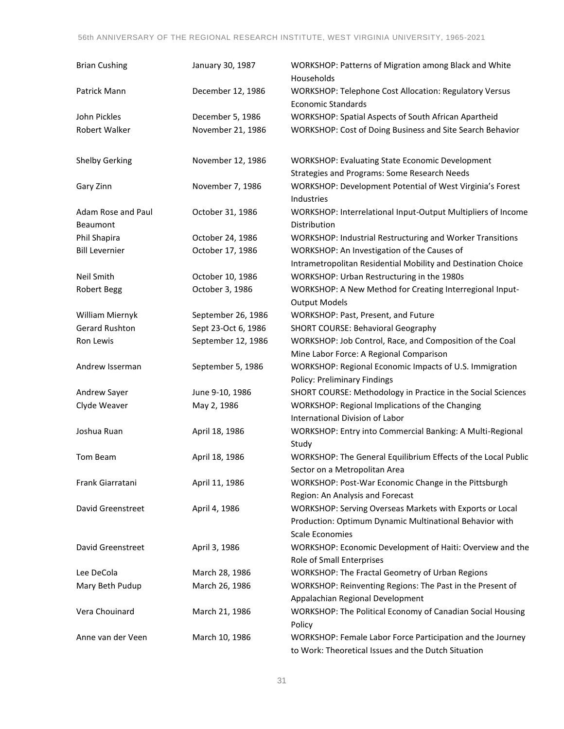| <b>Brian Cushing</b>  | January 30, 1987    | WORKSHOP: Patterns of Migration among Black and White<br><b>Households</b>                                        |
|-----------------------|---------------------|-------------------------------------------------------------------------------------------------------------------|
| Patrick Mann          | December 12, 1986   | <b>WORKSHOP: Telephone Cost Allocation: Regulatory Versus</b><br><b>Economic Standards</b>                        |
| John Pickles          | December 5, 1986    | WORKSHOP: Spatial Aspects of South African Apartheid                                                              |
| Robert Walker         | November 21, 1986   | WORKSHOP: Cost of Doing Business and Site Search Behavior                                                         |
| <b>Shelby Gerking</b> | November 12, 1986   | <b>WORKSHOP: Evaluating State Economic Development</b><br><b>Strategies and Programs: Some Research Needs</b>     |
| Gary Zinn             | November 7, 1986    | WORKSHOP: Development Potential of West Virginia's Forest<br>Industries                                           |
| Adam Rose and Paul    | October 31, 1986    | WORKSHOP: Interrelational Input-Output Multipliers of Income                                                      |
| Beaumont              |                     | Distribution                                                                                                      |
| Phil Shapira          | October 24, 1986    | WORKSHOP: Industrial Restructuring and Worker Transitions                                                         |
| <b>Bill Levernier</b> | October 17, 1986    | WORKSHOP: An Investigation of the Causes of                                                                       |
|                       |                     | Intrametropolitan Residential Mobility and Destination Choice                                                     |
| Neil Smith            | October 10, 1986    | WORKSHOP: Urban Restructuring in the 1980s                                                                        |
| Robert Begg           | October 3, 1986     | WORKSHOP: A New Method for Creating Interregional Input-<br><b>Output Models</b>                                  |
| William Miernyk       | September 26, 1986  | WORKSHOP: Past, Present, and Future                                                                               |
| <b>Gerard Rushton</b> | Sept 23-Oct 6, 1986 | SHORT COURSE: Behavioral Geography                                                                                |
| Ron Lewis             | September 12, 1986  | WORKSHOP: Job Control, Race, and Composition of the Coal                                                          |
|                       |                     | Mine Labor Force: A Regional Comparison                                                                           |
| Andrew Isserman       | September 5, 1986   | WORKSHOP: Regional Economic Impacts of U.S. Immigration<br><b>Policy: Preliminary Findings</b>                    |
| Andrew Sayer          | June 9-10, 1986     | SHORT COURSE: Methodology in Practice in the Social Sciences                                                      |
| Clyde Weaver          | May 2, 1986         | WORKSHOP: Regional Implications of the Changing                                                                   |
|                       |                     | International Division of Labor                                                                                   |
| Joshua Ruan           | April 18, 1986      | WORKSHOP: Entry into Commercial Banking: A Multi-Regional<br>Study                                                |
| Tom Beam              | April 18, 1986      | WORKSHOP: The General Equilibrium Effects of the Local Public                                                     |
|                       |                     | Sector on a Metropolitan Area                                                                                     |
| Frank Giarratani      | April 11, 1986      | WORKSHOP: Post-War Economic Change in the Pittsburgh                                                              |
|                       |                     | Region: An Analysis and Forecast                                                                                  |
| David Greenstreet     | April 4, 1986       | WORKSHOP: Serving Overseas Markets with Exports or Local                                                          |
|                       |                     | Production: Optimum Dynamic Multinational Behavior with<br><b>Scale Economies</b>                                 |
| David Greenstreet     | April 3, 1986       | WORKSHOP: Economic Development of Haiti: Overview and the<br>Role of Small Enterprises                            |
| Lee DeCola            | March 28, 1986      | WORKSHOP: The Fractal Geometry of Urban Regions                                                                   |
| Mary Beth Pudup       | March 26, 1986      | WORKSHOP: Reinventing Regions: The Past in the Present of<br>Appalachian Regional Development                     |
| Vera Chouinard        | March 21, 1986      | WORKSHOP: The Political Economy of Canadian Social Housing<br>Policy                                              |
| Anne van der Veen     | March 10, 1986      | WORKSHOP: Female Labor Force Participation and the Journey<br>to Work: Theoretical Issues and the Dutch Situation |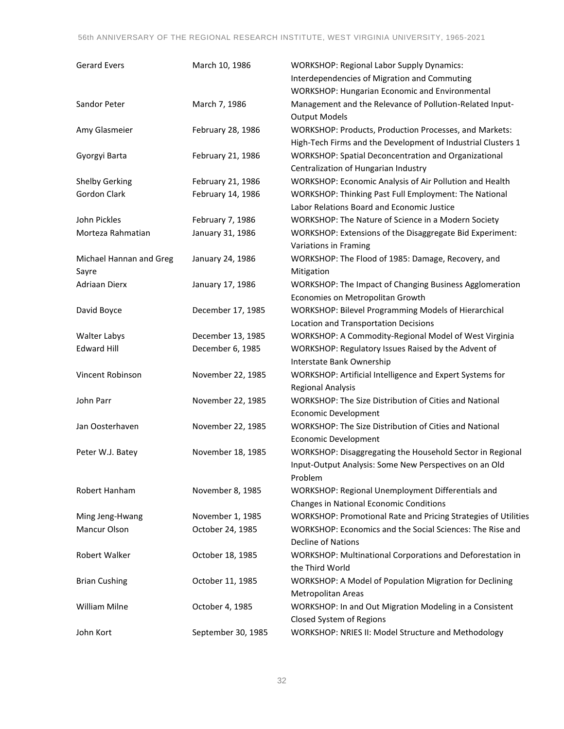| <b>Gerard Evers</b>              | March 10, 1986     | <b>WORKSHOP: Regional Labor Supply Dynamics:</b><br>Interdependencies of Migration and Commuting                                          |
|----------------------------------|--------------------|-------------------------------------------------------------------------------------------------------------------------------------------|
| Sandor Peter                     | March 7, 1986      | <b>WORKSHOP: Hungarian Economic and Environmental</b><br>Management and the Relevance of Pollution-Related Input-<br><b>Output Models</b> |
| Amy Glasmeier                    | February 28, 1986  | WORKSHOP: Products, Production Processes, and Markets:<br>High-Tech Firms and the Development of Industrial Clusters 1                    |
| Gyorgyi Barta                    | February 21, 1986  | <b>WORKSHOP: Spatial Deconcentration and Organizational</b><br>Centralization of Hungarian Industry                                       |
| <b>Shelby Gerking</b>            | February 21, 1986  | WORKSHOP: Economic Analysis of Air Pollution and Health                                                                                   |
| Gordon Clark                     | February 14, 1986  | WORKSHOP: Thinking Past Full Employment: The National<br>Labor Relations Board and Economic Justice                                       |
| John Pickles                     | February 7, 1986   | WORKSHOP: The Nature of Science in a Modern Society                                                                                       |
| Morteza Rahmatian                | January 31, 1986   | WORKSHOP: Extensions of the Disaggregate Bid Experiment:<br>Variations in Framing                                                         |
| Michael Hannan and Greg<br>Sayre | January 24, 1986   | WORKSHOP: The Flood of 1985: Damage, Recovery, and<br>Mitigation                                                                          |
| <b>Adriaan Dierx</b>             | January 17, 1986   | WORKSHOP: The Impact of Changing Business Agglomeration<br>Economies on Metropolitan Growth                                               |
| David Boyce                      | December 17, 1985  | WORKSHOP: Bilevel Programming Models of Hierarchical<br><b>Location and Transportation Decisions</b>                                      |
| <b>Walter Labys</b>              | December 13, 1985  | WORKSHOP: A Commodity-Regional Model of West Virginia                                                                                     |
| <b>Edward Hill</b>               | December 6, 1985   | WORKSHOP: Regulatory Issues Raised by the Advent of<br>Interstate Bank Ownership                                                          |
| Vincent Robinson                 | November 22, 1985  | WORKSHOP: Artificial Intelligence and Expert Systems for<br><b>Regional Analysis</b>                                                      |
| John Parr                        | November 22, 1985  | WORKSHOP: The Size Distribution of Cities and National<br><b>Economic Development</b>                                                     |
| Jan Oosterhaven                  | November 22, 1985  | <b>WORKSHOP: The Size Distribution of Cities and National</b><br><b>Economic Development</b>                                              |
| Peter W.J. Batey                 | November 18, 1985  | WORKSHOP: Disaggregating the Household Sector in Regional<br>Input-Output Analysis: Some New Perspectives on an Old<br>Problem            |
| Robert Hanham                    | November 8, 1985   | WORKSHOP: Regional Unemployment Differentials and<br>Changes in National Economic Conditions                                              |
| Ming Jeng-Hwang                  | November 1, 1985   | WORKSHOP: Promotional Rate and Pricing Strategies of Utilities                                                                            |
| Mancur Olson                     | October 24, 1985   | WORKSHOP: Economics and the Social Sciences: The Rise and<br><b>Decline of Nations</b>                                                    |
| Robert Walker                    | October 18, 1985   | WORKSHOP: Multinational Corporations and Deforestation in<br>the Third World                                                              |
| <b>Brian Cushing</b>             | October 11, 1985   | WORKSHOP: A Model of Population Migration for Declining<br><b>Metropolitan Areas</b>                                                      |
| William Milne                    | October 4, 1985    | WORKSHOP: In and Out Migration Modeling in a Consistent<br>Closed System of Regions                                                       |
| John Kort                        | September 30, 1985 | WORKSHOP: NRIES II: Model Structure and Methodology                                                                                       |